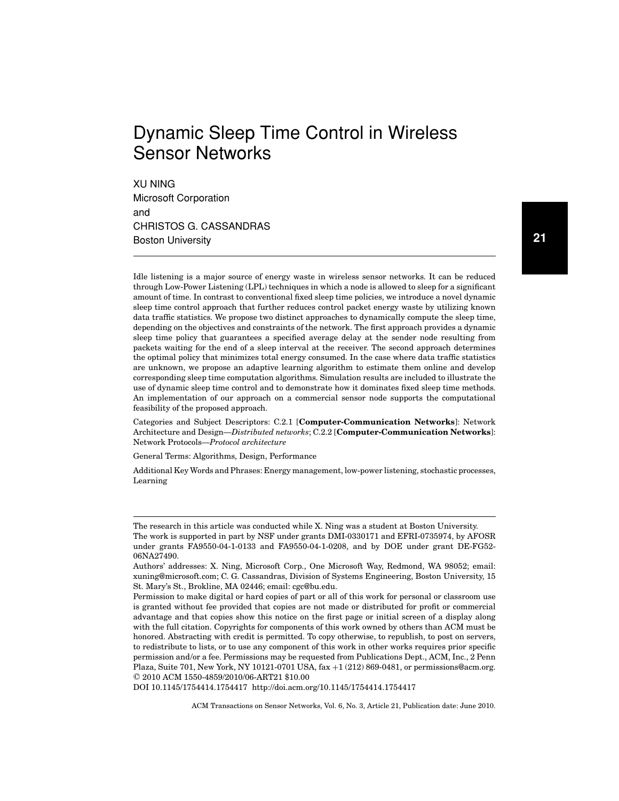# Dynamic Sleep Time Control in Wireless Sensor Networks

XU NING Microsoft Corporation and CHRISTOS G. CASSANDRAS Boston University

Idle listening is a major source of energy waste in wireless sensor networks. It can be reduced through Low-Power Listening (LPL) techniques in which a node is allowed to sleep for a significant amount of time. In contrast to conventional fixed sleep time policies, we introduce a novel dynamic sleep time control approach that further reduces control packet energy waste by utilizing known data traffic statistics. We propose two distinct approaches to dynamically compute the sleep time, depending on the objectives and constraints of the network. The first approach provides a dynamic sleep time policy that guarantees a specified average delay at the sender node resulting from packets waiting for the end of a sleep interval at the receiver. The second approach determines the optimal policy that minimizes total energy consumed. In the case where data traffic statistics are unknown, we propose an adaptive learning algorithm to estimate them online and develop corresponding sleep time computation algorithms. Simulation results are included to illustrate the use of dynamic sleep time control and to demonstrate how it dominates fixed sleep time methods. An implementation of our approach on a commercial sensor node supports the computational feasibility of the proposed approach.

Categories and Subject Descriptors: C.2.1 [**Computer-Communication Networks**]: Network Architecture and Design—*Distributed networks*; C.2.2 [**Computer-Communication Networks**]: Network Protocols—*Protocol architecture*

General Terms: Algorithms, Design, Performance

Additional Key Words and Phrases: Energy management, low-power listening, stochastic processes, Learning

DOI 10.1145/1754414.1754417 http://doi.acm.org/10.1145/1754414.1754417

The research in this article was conducted while X. Ning was a student at Boston University. The work is supported in part by NSF under grants DMI-0330171 and EFRI-0735974, by AFOSR under grants FA9550-04-1-0133 and FA9550-04-1-0208, and by DOE under grant DE-FG52- 06NA27490.

Authors' addresses: X. Ning, Microsoft Corp., One Microsoft Way, Redmond, WA 98052; email: xuning@microsoft.com; C. G. Cassandras, Division of Systems Engineering, Boston University, 15 St. Mary's St., Brokline, MA 02446; email: cgc@bu.edu.

Permission to make digital or hard copies of part or all of this work for personal or classroom use is granted without fee provided that copies are not made or distributed for profit or commercial advantage and that copies show this notice on the first page or initial screen of a display along with the full citation. Copyrights for components of this work owned by others than ACM must be honored. Abstracting with credit is permitted. To copy otherwise, to republish, to post on servers, to redistribute to lists, or to use any component of this work in other works requires prior specific permission and/or a fee. Permissions may be requested from Publications Dept., ACM, Inc., 2 Penn Plaza, Suite 701, New York, NY 10121-0701 USA, fax +1 (212) 869-0481, or permissions@acm.org. -C 2010 ACM 1550-4859/2010/06-ART21 \$10.00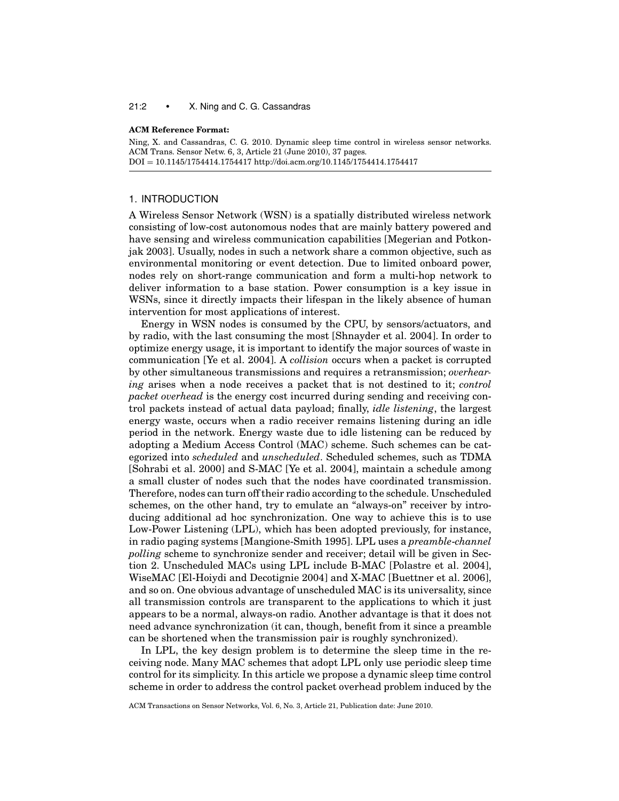# 21:2 • X. Ning and C. G. Cassandras

#### **ACM Reference Format:**

Ning, X. and Cassandras, C. G. 2010. Dynamic sleep time control in wireless sensor networks. ACM Trans. Sensor Netw. 6, 3, Article 21 (June 2010), 37 pages. DOI = 10.1145/1754414.1754417 http://doi.acm.org/10.1145/1754414.1754417

# 1. INTRODUCTION

A Wireless Sensor Network (WSN) is a spatially distributed wireless network consisting of low-cost autonomous nodes that are mainly battery powered and have sensing and wireless communication capabilities [Megerian and Potkonjak 2003]. Usually, nodes in such a network share a common objective, such as environmental monitoring or event detection. Due to limited onboard power, nodes rely on short-range communication and form a multi-hop network to deliver information to a base station. Power consumption is a key issue in WSNs, since it directly impacts their lifespan in the likely absence of human intervention for most applications of interest.

Energy in WSN nodes is consumed by the CPU, by sensors/actuators, and by radio, with the last consuming the most [Shnayder et al. 2004]. In order to optimize energy usage, it is important to identify the major sources of waste in communication [Ye et al. 2004]. A *collision* occurs when a packet is corrupted by other simultaneous transmissions and requires a retransmission; *overhearing* arises when a node receives a packet that is not destined to it; *control packet overhead* is the energy cost incurred during sending and receiving control packets instead of actual data payload; finally, *idle listening*, the largest energy waste, occurs when a radio receiver remains listening during an idle period in the network. Energy waste due to idle listening can be reduced by adopting a Medium Access Control (MAC) scheme. Such schemes can be categorized into *scheduled* and *unscheduled*. Scheduled schemes, such as TDMA [Sohrabi et al. 2000] and S-MAC [Ye et al. 2004], maintain a schedule among a small cluster of nodes such that the nodes have coordinated transmission. Therefore, nodes can turn off their radio according to the schedule. Unscheduled schemes, on the other hand, try to emulate an "always-on" receiver by introducing additional ad hoc synchronization. One way to achieve this is to use Low-Power Listening (LPL), which has been adopted previously, for instance, in radio paging systems [Mangione-Smith 1995]. LPL uses a *preamble*-*channel polling* scheme to synchronize sender and receiver; detail will be given in Section 2. Unscheduled MACs using LPL include B-MAC [Polastre et al. 2004], WiseMAC [El-Hoiydi and Decotignie 2004] and X-MAC [Buettner et al. 2006], and so on. One obvious advantage of unscheduled MAC is its universality, since all transmission controls are transparent to the applications to which it just appears to be a normal, always-on radio. Another advantage is that it does not need advance synchronization (it can, though, benefit from it since a preamble can be shortened when the transmission pair is roughly synchronized).

In LPL, the key design problem is to determine the sleep time in the receiving node. Many MAC schemes that adopt LPL only use periodic sleep time control for its simplicity. In this article we propose a dynamic sleep time control scheme in order to address the control packet overhead problem induced by the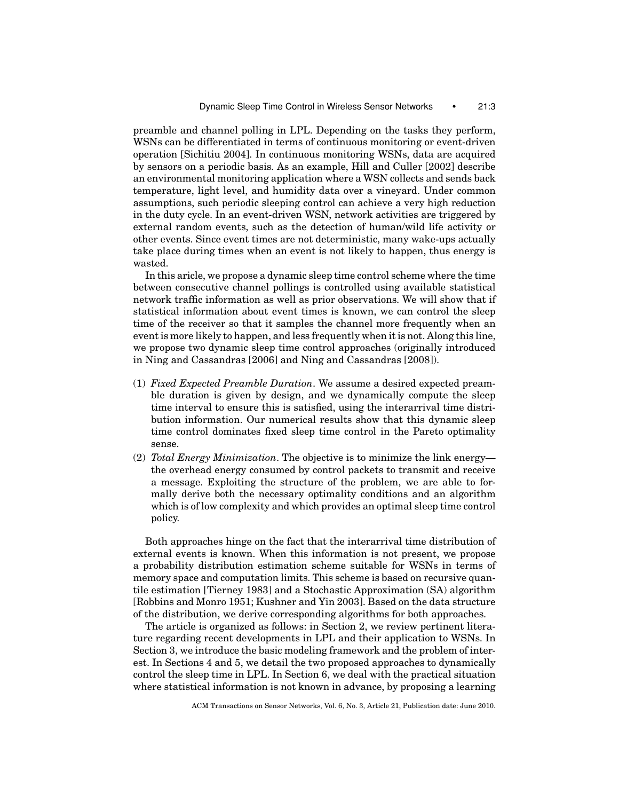preamble and channel polling in LPL. Depending on the tasks they perform, WSNs can be differentiated in terms of continuous monitoring or event-driven operation [Sichitiu 2004]. In continuous monitoring WSNs, data are acquired by sensors on a periodic basis. As an example, Hill and Culler [2002] describe an environmental monitoring application where a WSN collects and sends back temperature, light level, and humidity data over a vineyard. Under common assumptions, such periodic sleeping control can achieve a very high reduction in the duty cycle. In an event-driven WSN, network activities are triggered by external random events, such as the detection of human/wild life activity or other events. Since event times are not deterministic, many wake-ups actually take place during times when an event is not likely to happen, thus energy is wasted.

In this aricle, we propose a dynamic sleep time control scheme where the time between consecutive channel pollings is controlled using available statistical network traffic information as well as prior observations. We will show that if statistical information about event times is known, we can control the sleep time of the receiver so that it samples the channel more frequently when an event is more likely to happen, and less frequently when it is not. Along this line, we propose two dynamic sleep time control approaches (originally introduced in Ning and Cassandras [2006] and Ning and Cassandras [2008]).

- (1) *Fixed Expected Preamble Duration*. We assume a desired expected preamble duration is given by design, and we dynamically compute the sleep time interval to ensure this is satisfied, using the interarrival time distribution information. Our numerical results show that this dynamic sleep time control dominates fixed sleep time control in the Pareto optimality sense.
- (2) *Total Energy Minimization*. The objective is to minimize the link energy the overhead energy consumed by control packets to transmit and receive a message. Exploiting the structure of the problem, we are able to formally derive both the necessary optimality conditions and an algorithm which is of low complexity and which provides an optimal sleep time control policy.

Both approaches hinge on the fact that the interarrival time distribution of external events is known. When this information is not present, we propose a probability distribution estimation scheme suitable for WSNs in terms of memory space and computation limits. This scheme is based on recursive quantile estimation [Tierney 1983] and a Stochastic Approximation (SA) algorithm [Robbins and Monro 1951; Kushner and Yin 2003]. Based on the data structure of the distribution, we derive corresponding algorithms for both approaches.

The article is organized as follows: in Section 2, we review pertinent literature regarding recent developments in LPL and their application to WSNs. In Section 3, we introduce the basic modeling framework and the problem of interest. In Sections 4 and 5, we detail the two proposed approaches to dynamically control the sleep time in LPL. In Section 6, we deal with the practical situation where statistical information is not known in advance, by proposing a learning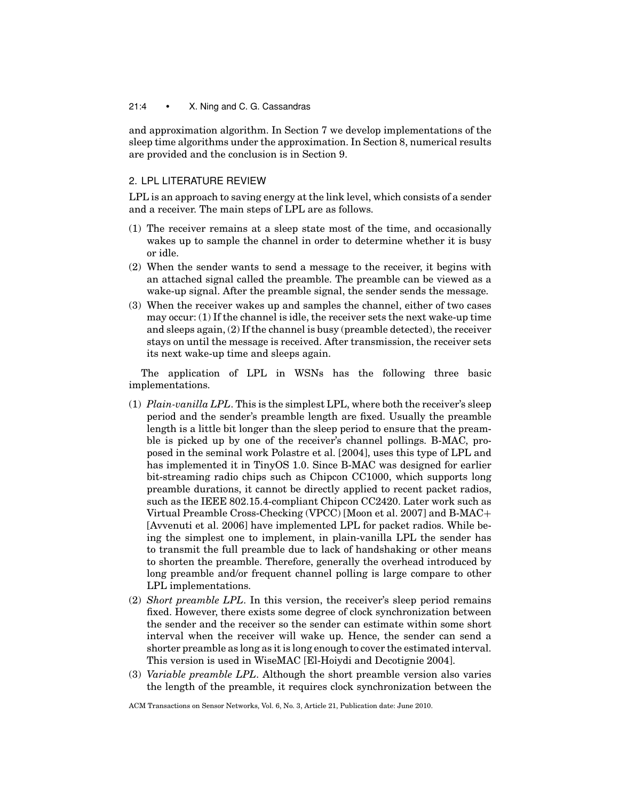# 21:4 • X. Ning and C. G. Cassandras

and approximation algorithm. In Section 7 we develop implementations of the sleep time algorithms under the approximation. In Section 8, numerical results are provided and the conclusion is in Section 9.

# 2. LPL LITERATURE REVIEW

LPL is an approach to saving energy at the link level, which consists of a sender and a receiver. The main steps of LPL are as follows.

- (1) The receiver remains at a sleep state most of the time, and occasionally wakes up to sample the channel in order to determine whether it is busy or idle.
- (2) When the sender wants to send a message to the receiver, it begins with an attached signal called the preamble. The preamble can be viewed as a wake-up signal. After the preamble signal, the sender sends the message.
- (3) When the receiver wakes up and samples the channel, either of two cases may occur: (1) If the channel is idle, the receiver sets the next wake-up time and sleeps again, (2) If the channel is busy (preamble detected), the receiver stays on until the message is received. After transmission, the receiver sets its next wake-up time and sleeps again.

The application of LPL in WSNs has the following three basic implementations.

- (1) *Plain-vanilla LPL*. This is the simplest LPL, where both the receiver's sleep period and the sender's preamble length are fixed. Usually the preamble length is a little bit longer than the sleep period to ensure that the preamble is picked up by one of the receiver's channel pollings. B-MAC, proposed in the seminal work Polastre et al. [2004], uses this type of LPL and has implemented it in TinyOS 1.0. Since B-MAC was designed for earlier bit-streaming radio chips such as Chipcon CC1000, which supports long preamble durations, it cannot be directly applied to recent packet radios, such as the IEEE 802.15.4-compliant Chipcon CC2420. Later work such as Virtual Preamble Cross-Checking (VPCC) [Moon et al. 2007] and B-MAC+ [Avvenuti et al. 2006] have implemented LPL for packet radios. While being the simplest one to implement, in plain-vanilla LPL the sender has to transmit the full preamble due to lack of handshaking or other means to shorten the preamble. Therefore, generally the overhead introduced by long preamble and/or frequent channel polling is large compare to other LPL implementations.
- (2) *Short preamble LPL*. In this version, the receiver's sleep period remains fixed. However, there exists some degree of clock synchronization between the sender and the receiver so the sender can estimate within some short interval when the receiver will wake up. Hence, the sender can send a shorter preamble as long as it is long enough to cover the estimated interval. This version is used in WiseMAC [El-Hoiydi and Decotignie 2004].
- (3) *Variable preamble LPL*. Although the short preamble version also varies the length of the preamble, it requires clock synchronization between the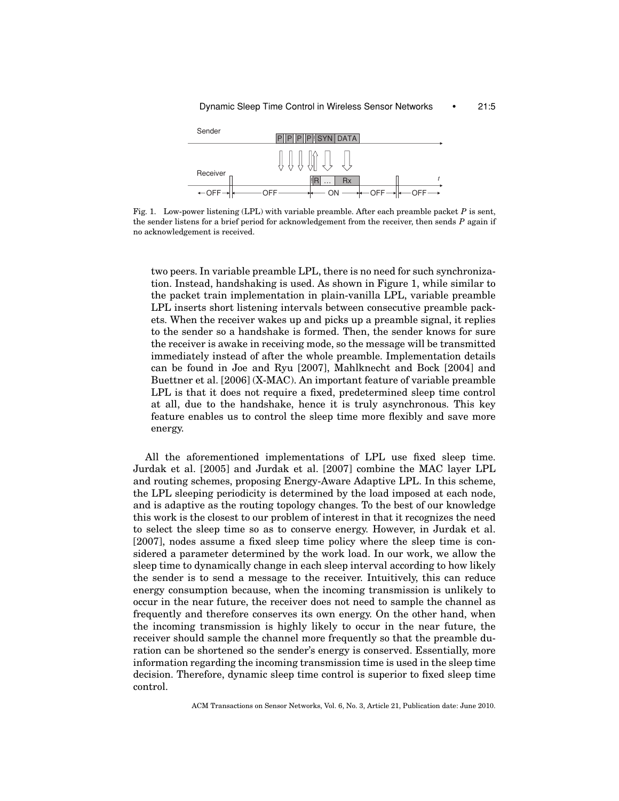

Fig. 1. Low-power listening (LPL) with variable preamble. After each preamble packet *P* is sent, the sender listens for a brief period for acknowledgement from the receiver, then sends *P* again if no acknowledgement is received.

two peers. In variable preamble LPL, there is no need for such synchronization. Instead, handshaking is used. As shown in Figure 1, while similar to the packet train implementation in plain-vanilla LPL, variable preamble LPL inserts short listening intervals between consecutive preamble packets. When the receiver wakes up and picks up a preamble signal, it replies to the sender so a handshake is formed. Then, the sender knows for sure the receiver is awake in receiving mode, so the message will be transmitted immediately instead of after the whole preamble. Implementation details can be found in Joe and Ryu [2007], Mahlknecht and Bock [2004] and Buettner et al. [2006] (X-MAC). An important feature of variable preamble LPL is that it does not require a fixed, predetermined sleep time control at all, due to the handshake, hence it is truly asynchronous. This key feature enables us to control the sleep time more flexibly and save more energy.

All the aforementioned implementations of LPL use fixed sleep time. Jurdak et al. [2005] and Jurdak et al. [2007] combine the MAC layer LPL and routing schemes, proposing Energy-Aware Adaptive LPL. In this scheme, the LPL sleeping periodicity is determined by the load imposed at each node, and is adaptive as the routing topology changes. To the best of our knowledge this work is the closest to our problem of interest in that it recognizes the need to select the sleep time so as to conserve energy. However, in Jurdak et al. [2007], nodes assume a fixed sleep time policy where the sleep time is considered a parameter determined by the work load. In our work, we allow the sleep time to dynamically change in each sleep interval according to how likely the sender is to send a message to the receiver. Intuitively, this can reduce energy consumption because, when the incoming transmission is unlikely to occur in the near future, the receiver does not need to sample the channel as frequently and therefore conserves its own energy. On the other hand, when the incoming transmission is highly likely to occur in the near future, the receiver should sample the channel more frequently so that the preamble duration can be shortened so the sender's energy is conserved. Essentially, more information regarding the incoming transmission time is used in the sleep time decision. Therefore, dynamic sleep time control is superior to fixed sleep time control.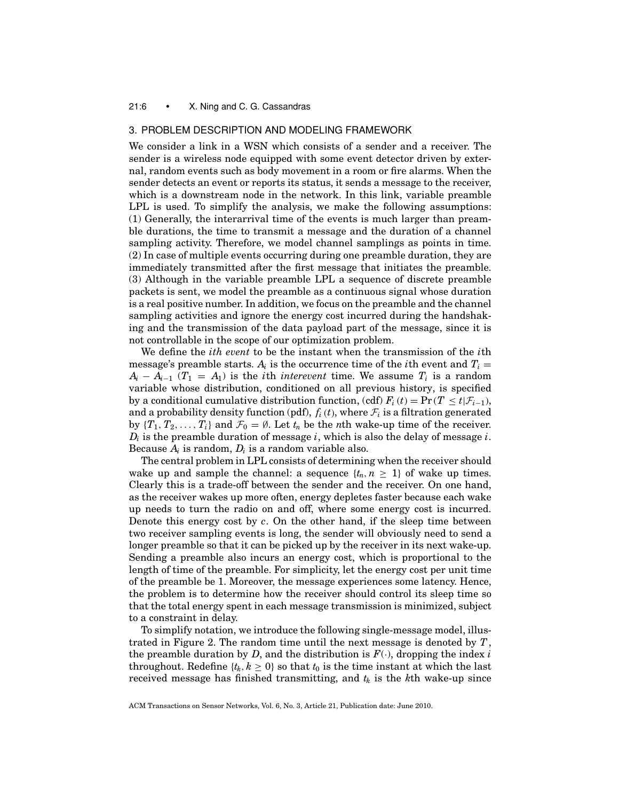# 21:6 • X. Ning and C. G. Cassandras

# 3. PROBLEM DESCRIPTION AND MODELING FRAMEWORK

We consider a link in a WSN which consists of a sender and a receiver. The sender is a wireless node equipped with some event detector driven by external, random events such as body movement in a room or fire alarms. When the sender detects an event or reports its status, it sends a message to the receiver, which is a downstream node in the network. In this link, variable preamble LPL is used. To simplify the analysis, we make the following assumptions: (1) Generally, the interarrival time of the events is much larger than preamble durations, the time to transmit a message and the duration of a channel sampling activity. Therefore, we model channel samplings as points in time. (2) In case of multiple events occurring during one preamble duration, they are immediately transmitted after the first message that initiates the preamble. (3) Although in the variable preamble LPL a sequence of discrete preamble packets is sent, we model the preamble as a continuous signal whose duration is a real positive number. In addition, we focus on the preamble and the channel sampling activities and ignore the energy cost incurred during the handshaking and the transmission of the data payload part of the message, since it is not controllable in the scope of our optimization problem.

We define the *ith event* to be the instant when the transmission of the *i*th message's preamble starts.  $A_i$  is the occurrence time of the *i*th event and  $T_i$  =  $A_i - A_{i-1}$  ( $T_1 = A_1$ ) is the *i*th *interevent* time. We assume  $T_i$  is a random variable whose distribution, conditioned on all previous history, is specified by a conditional cumulative distribution function, (cdf)  $F_i(t) = Pr(T \le t | \mathcal{F}_{i-1})$ , and a probability density function (pdf),  $f_i(t)$ , where  $\mathcal{F}_i$  is a filtration generated by  ${T_1, T_2, \ldots, T_i}$  and  $\mathcal{F}_0 = \emptyset$ . Let  $t_n$  be the *n*th wake-up time of the receiver.  $D_i$  is the preamble duration of message *i*, which is also the delay of message *i*. Because *Ai* is random, *Di* is a random variable also.

The central problem in LPL consists of determining when the receiver should wake up and sample the channel: a sequence  $\{t_n, n \geq 1\}$  of wake up times. Clearly this is a trade-off between the sender and the receiver. On one hand, as the receiver wakes up more often, energy depletes faster because each wake up needs to turn the radio on and off, where some energy cost is incurred. Denote this energy cost by *c*. On the other hand, if the sleep time between two receiver sampling events is long, the sender will obviously need to send a longer preamble so that it can be picked up by the receiver in its next wake-up. Sending a preamble also incurs an energy cost, which is proportional to the length of time of the preamble. For simplicity, let the energy cost per unit time of the preamble be 1. Moreover, the message experiences some latency. Hence, the problem is to determine how the receiver should control its sleep time so that the total energy spent in each message transmission is minimized, subject to a constraint in delay.

To simplify notation, we introduce the following single-message model, illustrated in Figure 2. The random time until the next message is denoted by *T*, the preamble duration by *D*, and the distribution is  $F(.)$ , dropping the index *i* throughout. Redefine  $\{t_k, k \geq 0\}$  so that  $t_0$  is the time instant at which the last received message has finished transmitting, and  $t_k$  is the  $k$ <sup>th</sup> wake-up since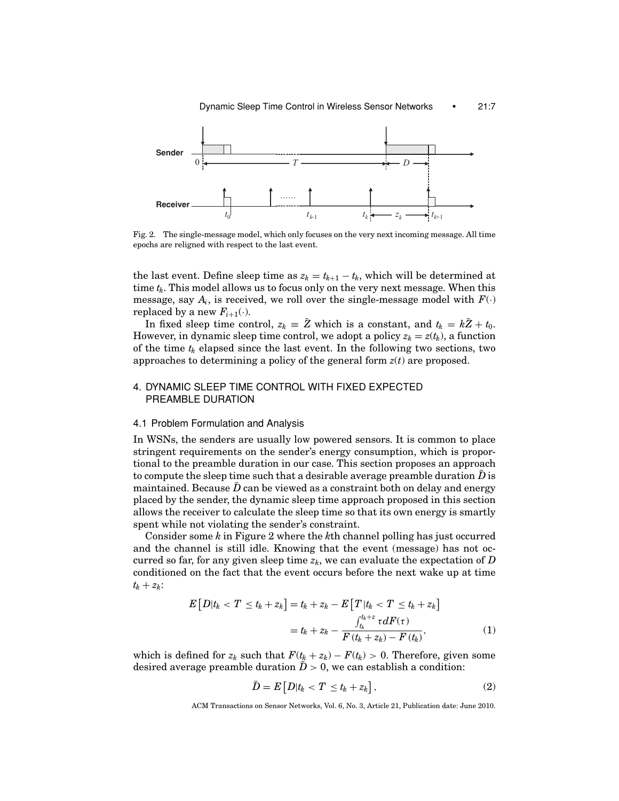

Fig. 2. The single-message model, which only focuses on the very next incoming message. All time epochs are religned with respect to the last event.

the last event. Define sleep time as  $z_k = t_{k+1} - t_k$ , which will be determined at time *tk*. This model allows us to focus only on the very next message. When this message, say  $A_i$ , is received, we roll over the single-message model with  $F(\cdot)$ replaced by a new  $F_{i+1}(\cdot)$ .

In fixed sleep time control,  $z_k \equiv \bar{Z}$  which is a constant, and  $t_k = k\bar{Z} + t_0$ . However, in dynamic sleep time control, we adopt a policy  $z_k = z(t_k)$ , a function of the time  $t_k$  elapsed since the last event. In the following two sections, two approaches to determining a policy of the general form *z*(*t*) are proposed.

# 4. DYNAMIC SLEEP TIME CONTROL WITH FIXED EXPECTED PREAMBLE DURATION

# 4.1 Problem Formulation and Analysis

In WSNs, the senders are usually low powered sensors. It is common to place stringent requirements on the sender's energy consumption, which is proportional to the preamble duration in our case. This section proposes an approach to compute the sleep time such that a desirable average preamble duration  $D$  is maintained. Because  $D$  can be viewed as a constraint both on delay and energy placed by the sender, the dynamic sleep time approach proposed in this section allows the receiver to calculate the sleep time so that its own energy is smartly spent while not violating the sender's constraint.

Consider some *k* in Figure 2 where the *k*th channel polling has just occurred and the channel is still idle. Knowing that the event (message) has not occurred so far, for any given sleep time  $z_k$ , we can evaluate the expectation of  $D$ conditioned on the fact that the event occurs before the next wake up at time  $t_k + z_k$ 

$$
E[D|t_k < T \le t_k + z_k] = t_k + z_k - E[T|t_k < T \le t_k + z_k]
$$
  

$$
= t_k + z_k - \frac{\int_{t_k}^{t_k + z} \tau dF(\tau)}{F(t_k + z_k) - F(t_k)}, \tag{1}
$$

which is defined for  $z_k$  such that  $F(t_k + z_k) - F(t_k) > 0$ . Therefore, given some desired average preamble duration  $\bar{D}$  > 0, we can establish a condition:

$$
\bar{D}=E\big[D|t_k
$$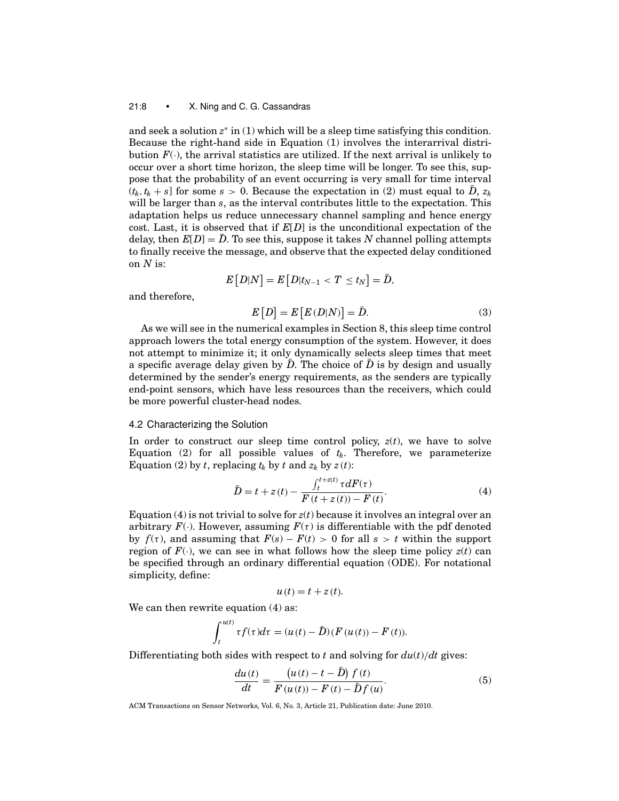# 21:8 • X. Ning and C. G. Cassandras

and seek a solution  $z^*$  in (1) which will be a sleep time satisfying this condition. Because the right-hand side in Equation (1) involves the interarrival distribution  $F(.)$ , the arrival statistics are utilized. If the next arrival is unlikely to occur over a short time horizon, the sleep time will be longer. To see this, suppose that the probability of an event occurring is very small for time interval  $(t_k, t_k + s)$  for some  $s > 0$ . Because the expectation in (2) must equal to *D*,  $z_k$ will be larger than *s*, as the interval contributes little to the expectation. This adaptation helps us reduce unnecessary channel sampling and hence energy cost. Last, it is observed that if *E*[*D*] is the unconditional expectation of the delay, then  $E[D] = \overline{D}$ . To see this, suppose it takes N channel polling attempts to finally receive the message, and observe that the expected delay conditioned on *N* is:

$$
E[D|N] = E[D|t_{N-1} < T \le t_N] = \bar{D},
$$

and therefore,

$$
E[D] = E[E(D|N)] = \bar{D}.
$$
\n(3)

As we will see in the numerical examples in Section 8, this sleep time control approach lowers the total energy consumption of the system. However, it does not attempt to minimize it; it only dynamically selects sleep times that meet a specific average delay given by  $D$ . The choice of  $D$  is by design and usually determined by the sender's energy requirements, as the senders are typically end-point sensors, which have less resources than the receivers, which could be more powerful cluster-head nodes.

# 4.2 Characterizing the Solution

In order to construct our sleep time control policy,  $z(t)$ , we have to solve Equation (2) for all possible values of  $t_k$ . Therefore, we parameterize Equation (2) by *t*, replacing  $t_k$  by *t* and  $z_k$  by  $z(t)$ :

$$
\bar{D} = t + z(t) - \frac{\int_{t}^{t+z(t)} \tau dF(\tau)}{F(t+z(t)) - F(t)}.
$$
\n(4)

Equation (4) is not trivial to solve for  $z(t)$  because it involves an integral over an arbitrary  $F(.)$ . However, assuming  $F(\tau)$  is differentiable with the pdf denoted by  $f(\tau)$ , and assuming that  $F(s) - F(t) > 0$  for all  $s > t$  within the support region of  $F(.)$ , we can see in what follows how the sleep time policy  $z(t)$  can be specified through an ordinary differential equation (ODE). For notational simplicity, define:

$$
u(t) = t + z(t).
$$

We can then rewrite equation (4) as:

$$
\int_{t}^{u(t)} \tau f(\tau) d\tau = (u(t) - \bar{D}) (F(u(t)) - F(t)).
$$

Differentiating both sides with respect to  $t$  and solving for  $du(t)/dt$  gives:

$$
\frac{du(t)}{dt} = \frac{\left(u(t) - t - \bar{D}\right)f(t)}{F\left(u(t)\right) - F\left(t\right) - \bar{D}f\left(u\right)}.\tag{5}
$$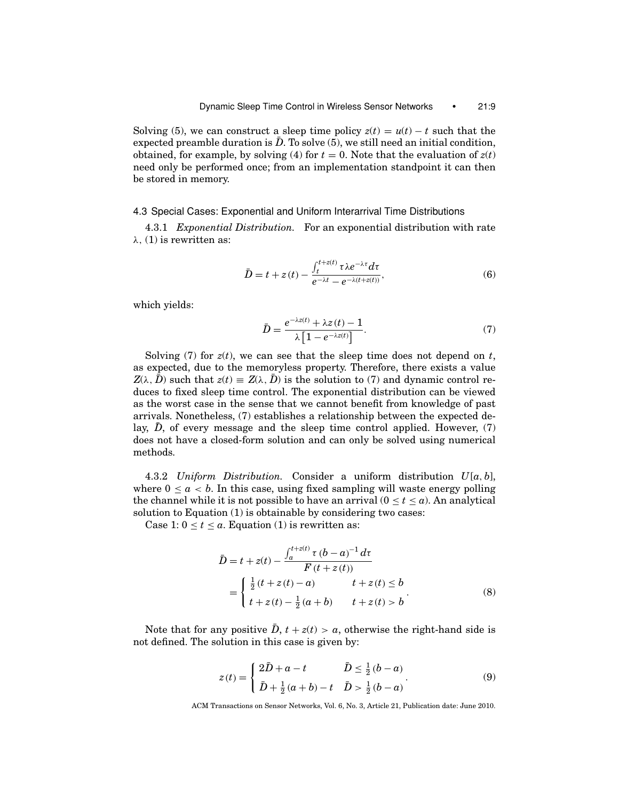Solving (5), we can construct a sleep time policy  $z(t) = u(t) - t$  such that the expected preamble duration is  $D$ . To solve  $(5)$ , we still need an initial condition, obtained, for example, by solving (4) for  $t = 0$ . Note that the evaluation of  $z(t)$ need only be performed once; from an implementation standpoint it can then be stored in memory.

4.3 Special Cases: Exponential and Uniform Interarrival Time Distributions

4.3.1 *Exponential Distribution.* For an exponential distribution with rate  $\lambda$ , (1) is rewritten as:

$$
\bar{D} = t + z(t) - \frac{\int_{t}^{t+z(t)} \tau \lambda e^{-\lambda \tau} d\tau}{e^{-\lambda t} - e^{-\lambda (t+z(t))}},
$$
\n(6)

which yields:

$$
\bar{D} = \frac{e^{-\lambda z(t)} + \lambda z(t) - 1}{\lambda \left[1 - e^{-\lambda z(t)}\right]}.
$$
\n(7)

Solving (7) for  $z(t)$ , we can see that the sleep time does not depend on  $t$ , as expected, due to the memoryless property. Therefore, there exists a value  $Z(\lambda, D)$  such that  $z(t) \equiv Z(\lambda, D)$  is the solution to (7) and dynamic control reduces to fixed sleep time control. The exponential distribution can be viewed as the worst case in the sense that we cannot benefit from knowledge of past arrivals. Nonetheless, (7) establishes a relationship between the expected delay,  $\bar{D}$ , of every message and the sleep time control applied. However, (7) does not have a closed-form solution and can only be solved using numerical methods.

4.3.2 *Uniform Distribution.* Consider a uniform distribution *U*[*a*, *b*], where  $0 \le a < b$ . In this case, using fixed sampling will waste energy polling the channel while it is not possible to have an arrival  $(0 \le t \le a)$ . An analytical solution to Equation (1) is obtainable by considering two cases:

Case 1:  $0 \le t \le a$ . Equation (1) is rewritten as:

$$
\bar{D} = t + z(t) - \frac{\int_{a}^{t+z(t)} \tau (b-a)^{-1} d\tau}{F(t+z(t))}
$$
\n
$$
= \begin{cases}\n\frac{1}{2} (t+z(t) - a) & t+z(t) \le b \\
t+z(t) - \frac{1}{2} (a+b) & t+z(t) > b\n\end{cases} (8)
$$

Note that for any positive  $\bar{D}$ ,  $t + z(t) > a$ , otherwise the right-hand side is not defined. The solution in this case is given by:

$$
z(t) = \begin{cases} 2\bar{D} + a - t & \bar{D} \le \frac{1}{2}(b - a) \\ \bar{D} + \frac{1}{2}(a + b) - t & \bar{D} > \frac{1}{2}(b - a) \end{cases}
$$
(9)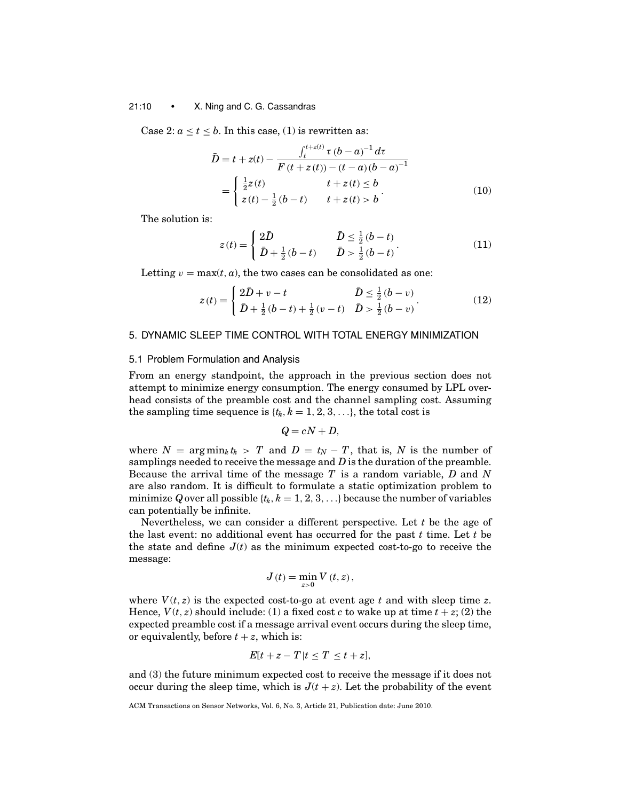#### 21:10 • X. Ning and C. G. Cassandras

Case 2:  $a \le t \le b$ . In this case, (1) is rewritten as:

$$
\bar{D} = t + z(t) - \frac{\int_{t}^{t+z(t)} \tau (b-a)^{-1} dt}{F(t+z(t)) - (t-a)(b-a)^{-1}}
$$

$$
= \begin{cases} \frac{1}{2}z(t) & t+z(t) \le b \\ z(t) - \frac{1}{2}(b-t) & t+z(t) > b \end{cases}
$$
(10)

The solution is:

$$
z(t) = \begin{cases} 2\bar{D} & \bar{D} \le \frac{1}{2}(b-t) \\ \bar{D} + \frac{1}{2}(b-t) & \bar{D} > \frac{1}{2}(b-t) \end{cases}
$$
(11)

Letting  $v = \max(t, a)$ , the two cases can be consolidated as one:

$$
z(t) = \begin{cases} 2\bar{D} + v - t & \bar{D} \le \frac{1}{2}(b - v) \\ \bar{D} + \frac{1}{2}(b - t) + \frac{1}{2}(v - t) & \bar{D} > \frac{1}{2}(b - v) \end{cases}
$$
(12)

# 5. DYNAMIC SLEEP TIME CONTROL WITH TOTAL ENERGY MINIMIZATION

#### 5.1 Problem Formulation and Analysis

From an energy standpoint, the approach in the previous section does not attempt to minimize energy consumption. The energy consumed by LPL overhead consists of the preamble cost and the channel sampling cost. Assuming the sampling time sequence is  $\{t_k, k = 1, 2, 3, \ldots\}$ , the total cost is

$$
Q=cN+D,
$$

where  $N = \arg\min_k t_k > T$  and  $D = t_N - T$ , that is, N is the number of samplings needed to receive the message and *D* is the duration of the preamble. Because the arrival time of the message *T* is a random variable, *D* and *N* are also random. It is difficult to formulate a static optimization problem to minimize *Q* over all possible  ${t_k, k = 1, 2, 3, \ldots}$  because the number of variables can potentially be infinite.

Nevertheless, we can consider a different perspective. Let *t* be the age of the last event: no additional event has occurred for the past *t* time. Let *t* be the state and define  $J(t)$  as the minimum expected cost-to-go to receive the message:

$$
J(t) = \min_{z>0} V(t,z),
$$

where  $V(t, z)$  is the expected cost-to-go at event age t and with sleep time z. Hence,  $V(t, z)$  should include: (1) a fixed cost *c* to wake up at time  $t + z$ ; (2) the expected preamble cost if a message arrival event occurs during the sleep time, or equivalently, before  $t + z$ , which is:

$$
E[t+z-T|t\leq T\leq t+z],
$$

and (3) the future minimum expected cost to receive the message if it does not occur during the sleep time, which is  $J(t + z)$ . Let the probability of the event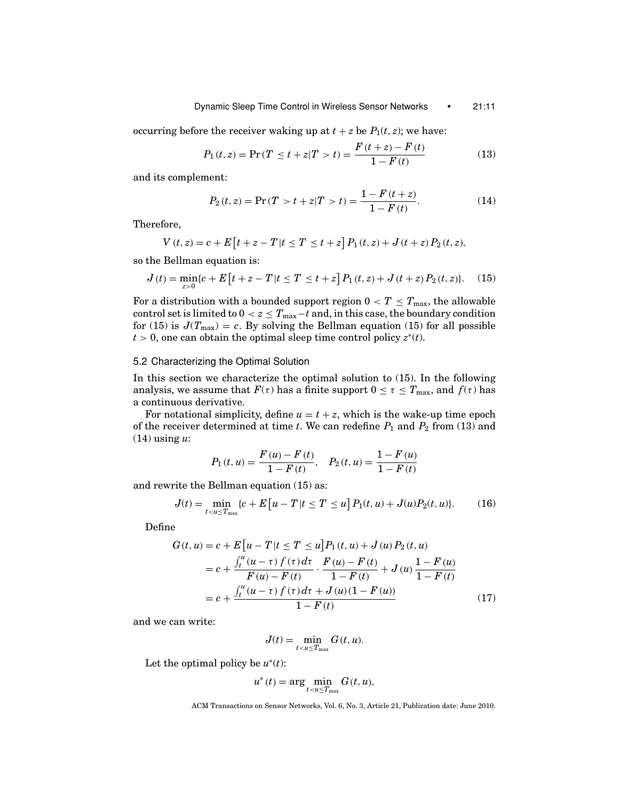occurring before the receiver waking up at  $t + z$  be  $P_1(t, z)$ ; we have:

$$
P_1(t, z) = \Pr(T \le t + z | T > t) = \frac{F(t + z) - F(t)}{1 - F(t)}\tag{13}
$$

and its complement:

$$
P_2(t, z) = \Pr(T > t + z | T > t) = \frac{1 - F(t + z)}{1 - F(t)}.
$$
\n(14)

Therefore,

$$
V(t, z) = c + E[t + z - T | t \le T \le t + z] P_1(t, z) + J(t + z) P_2(t, z),
$$

so the Bellman equation is:

$$
J(t) = \min_{z>0} \{c + E[t + z - T | t \le T \le t + z] P_1(t, z) + J(t + z) P_2(t, z)\}.
$$
 (15)

For a distribution with a bounded support region  $0 < T \leq T_{\text{max}}$ , the allowable control set is limited to  $0 < z \leq T_{\text{max}} - t$  and, in this case, the boundary condition for (15) is  $J(T_{\text{max}}) = c$ . By solving the Bellman equation (15) for all possible  $t > 0$ , one can obtain the optimal sleep time control policy  $z^*(t)$ .

# 5.2 Characterizing the Optimal Solution

In this section we characterize the optimal solution to (15). In the following analysis, we assume that  $F(\tau)$  has a finite support  $0 \leq \tau \leq T_{\text{max}}$ , and  $f(\tau)$  has a continuous derivative.

For notational simplicity, define  $u = t + z$ , which is the wake-up time epoch of the receiver determined at time *t*. We can redefine  $P_1$  and  $P_2$  from (13) and (14) using *u*:

$$
P_1(t, u) = \frac{F(u) - F(t)}{1 - F(t)}, \quad P_2(t, u) = \frac{1 - F(u)}{1 - F(t)}
$$

and rewrite the Bellman equation (15) as:

$$
J(t) = \min_{t < u \le T_{\text{max}}} \{ c + E \left[ u - T \middle| t \le T \le u \right] P_1(t, u) + J(u) P_2(t, u) \}. \tag{16}
$$

Define

$$
G(t, u) = c + E[u - T|t \leq T \leq u]P_1(t, u) + J(u)P_2(t, u)
$$
  
= 
$$
c + \frac{\int_t^u (u - \tau) f(\tau) d\tau}{F(u) - F(t)} \cdot \frac{F(u) - F(t)}{1 - F(t)} + J(u) \frac{1 - F(u)}{1 - F(t)}
$$
  
= 
$$
c + \frac{\int_t^u (u - \tau) f(\tau) d\tau + J(u) (1 - F(u))}{1 - F(t)}
$$
(17)

and we can write:

$$
J(t) = \min_{t < u \leq T_{\max}} G(t, u).
$$

Let the optimal policy be  $u^*(t)$ :

$$
u^*(t) = \arg\min_{t < u \leq T_{\text{max}}} G(t, u),
$$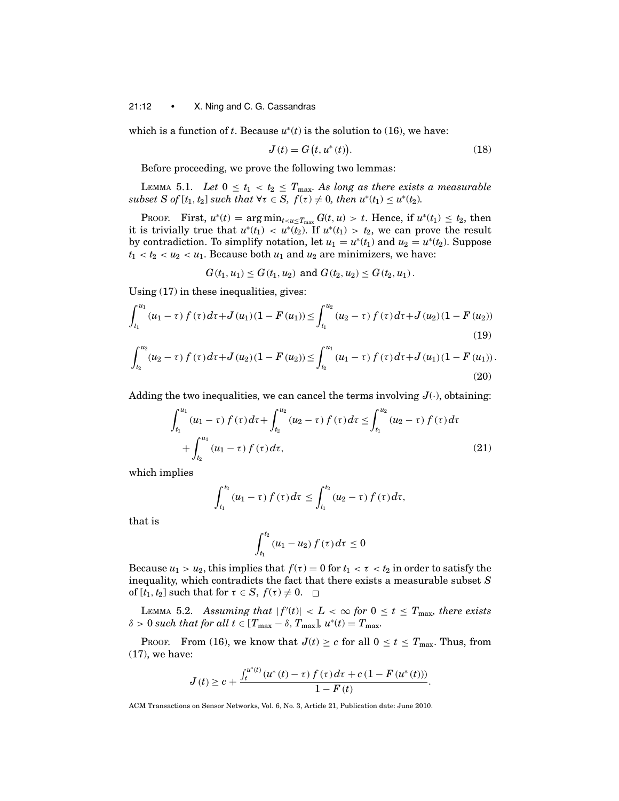# 21:12 • X. Ning and C. G. Cassandras

which is a function of *t*. Because  $u^*(t)$  is the solution to (16), we have:

$$
J(t) = G(t, u^*(t)).
$$
\n(18)

Before proceeding, we prove the following two lemmas:

LEMMA 5.1. *Let*  $0 \le t_1 < t_2 \le T_{\text{max}}$ . As long as there exists a measurable  $subset S of [t_1, t_2] such that \forall \tau \in S, f(\tau) \neq 0, then u^*(t_1) \leq u^*(t_2)$ .

PROOF. First,  $u^*(t) = \arg \min_{t < u \leq T_{\max}} G(t, u) > t$ . Hence, if  $u^*(t_1) \leq t_2$ , then it is trivially true that  $u^*(t_1) < u^*(t_2)$ . If  $u^*(t_1) > t_2$ , we can prove the result by contradiction. To simplify notation, let  $u_1 = u^*(t_1)$  and  $u_2 = u^*(t_2)$ . Suppose  $t_1 < t_2 < u_2 < u_1$ . Because both  $u_1$  and  $u_2$  are minimizers, we have:

$$
G(t_1, u_1) \le G(t_1, u_2) \text{ and } G(t_2, u_2) \le G(t_2, u_1).
$$

Using (17) in these inequalities, gives:

$$
\int_{t_1}^{u_1} (u_1 - \tau) f(\tau) d\tau + J(u_1)(1 - F(u_1)) \le \int_{t_1}^{u_2} (u_2 - \tau) f(\tau) d\tau + J(u_2)(1 - F(u_2))
$$
\n(19)

$$
\int_{t_2}^{u_2} (u_2 - \tau) f(\tau) d\tau + J(u_2)(1 - F(u_2)) \le \int_{t_2}^{u_1} (u_1 - \tau) f(\tau) d\tau + J(u_1)(1 - F(u_1)).
$$
\n(20)

Adding the two inequalities, we can cancel the terms involving  $J(\cdot)$ , obtaining:

$$
\int_{t_1}^{u_1} (u_1 - \tau) f(\tau) d\tau + \int_{t_2}^{u_2} (u_2 - \tau) f(\tau) d\tau \le \int_{t_1}^{u_2} (u_2 - \tau) f(\tau) d\tau + \int_{t_2}^{u_1} (u_1 - \tau) f(\tau) d\tau,
$$
\n(21)

which implies

$$
\int_{t_1}^{t_2} (u_1 - \tau) f(\tau) d\tau \leq \int_{t_1}^{t_2} (u_2 - \tau) f(\tau) d\tau,
$$

that is

$$
\int_{t_1}^{t_2} (u_1-u_2) f(\tau) d\tau \leq 0
$$

Because  $u_1 > u_2$ , this implies that  $f(\tau) = 0$  for  $t_1 < \tau < t_2$  in order to satisfy the inequality, which contradicts the fact that there exists a measurable subset *S* of  $[t_1, t_2]$  such that for  $\tau \in S$ ,  $f(\tau) \neq 0$ .

LEMMA 5.2. *Assuming that*  $|f'(t)| < L < \infty$  for  $0 \le t \le T_{\text{max}}$ , there exists  $\delta > 0$  *such that for all t*  $\in [T_{\text{max}} - \delta, T_{\text{max}}]$ *, u*<sup>\*</sup>(*t*) =  $T_{\text{max}}$ *.* 

PROOF. From (16), we know that  $J(t) \ge c$  for all  $0 \le t \le T_{\text{max}}$ . Thus, from  $(17)$ , we have:

$$
J(t) \geq c + \frac{\int_{t}^{u^{*}(t)} (u^{*}(t) - \tau) f(\tau) d\tau + c (1 - F(u^{*}(t)))}{1 - F(t)}.
$$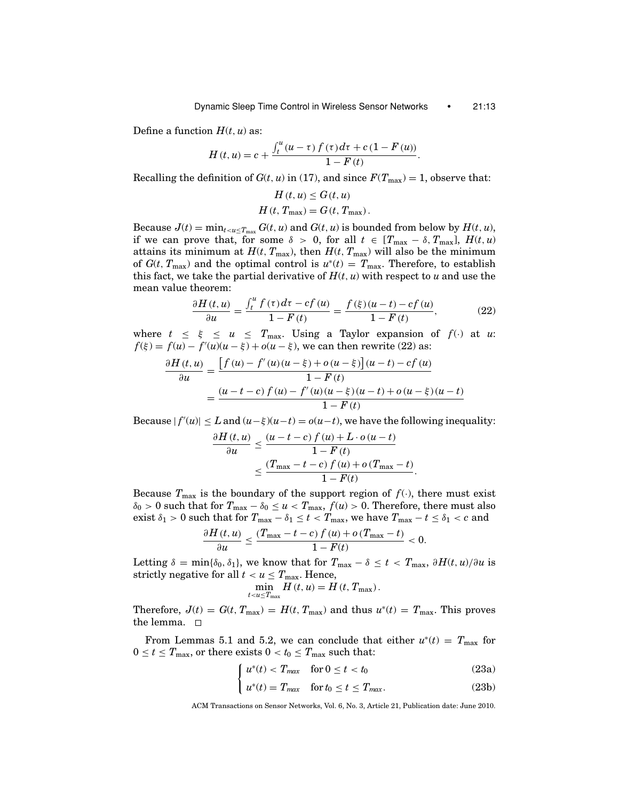Define a function  $H(t, u)$  as:

$$
H(t, u) = c + \frac{\int_t^u (u - \tau) f(\tau) d\tau + c (1 - F(u))}{1 - F(t)}.
$$

Recalling the definition of  $G(t, u)$  in (17), and since  $F(T_{\text{max}}) = 1$ , observe that:

$$
H(t, u) \le G(t, u)
$$
  
H(t, T<sub>max</sub>) = G(t, T<sub>max</sub>).

Because  $J(t) = \min_{t \le u \le T_{\text{max}}} G(t, u)$  and  $G(t, u)$  is bounded from below by  $H(t, u)$ , if we can prove that, for some  $\delta > 0$ , for all  $t \in [T_{\text{max}} - \delta, T_{\text{max}}], H(t, u)$ attains its minimum at  $H(t, T_{\text{max}})$ , then  $H(t, T_{\text{max}})$  will also be the minimum of  $G(t, T_{\text{max}})$  and the optimal control is  $u^*(t) = T_{\text{max}}$ . Therefore, to establish this fact, we take the partial derivative of  $H(t, u)$  with respect to *u* and use the mean value theorem:

$$
\frac{\partial H(t, u)}{\partial u} = \frac{\int_t^u f(\tau) d\tau - c f(u)}{1 - F(t)} = \frac{f(\xi)(u - t) - c f(u)}{1 - F(t)},
$$
(22)

where  $t \leq \xi \leq u \leq T_{\text{max}}$ . Using a Taylor expansion of  $f(\cdot)$  at *u*:  $f(\xi) = f(u) - f'(u)(u - \xi) + o(u - \xi)$ , we can then rewrite (22) as:

$$
\frac{\partial H(t, u)}{\partial u} = \frac{\left[f(u) - f'(u)(u - \xi) + o(u - \xi)\right](u - t) - cf(u)}{1 - F(t)}
$$

$$
= \frac{(u - t - c) f(u) - f'(u)(u - \xi)(u - t) + o(u - \xi)(u - t)}{1 - F(t)}
$$

Because  $|f'(u)| \leq L$  and  $(u-\xi)(u-t) = o(u-t)$ , we have the following inequality:

$$
\frac{\partial H(t, u)}{\partial u} \le \frac{(u - t - c) f(u) + L \cdot o(u - t)}{1 - F(t)}
$$

$$
\le \frac{(T_{\text{max}} - t - c) f(u) + o(T_{\text{max}} - t)}{1 - F(t)}
$$

Because  $T_{\text{max}}$  is the boundary of the support region of  $f(.)$ , there must exist  $\delta_0 > 0$  such that for  $T_{\text{max}} - \delta_0 \le u < T_{\text{max}}$ ,  $f(u) > 0$ . Therefore, there must also exist  $\delta_1 > 0$  such that for  $T_{\text{max}} - \delta_1 \le t < T_{\text{max}}$ , we have  $T_{\text{max}} - t \le \delta_1 < c$  and

$$
\frac{\partial H(t, u)}{\partial u} \le \frac{(T_{\max} - t - c) f(u) + o(T_{\max} - t)}{1 - F(t)} < 0.
$$

Letting  $\delta = \min{\delta_0, \delta_1}$ , we know that for  $T_{\text{max}} - \delta \le t < T_{\text{max}}$ ,  $\partial H(t, u)/\partial u$  is strictly negative for all  $t < u \leq T_{\text{max}}$ . Hence,

$$
\min_{t
$$

Therefore,  $J(t) = G(t, T_{\text{max}}) = H(t, T_{\text{max}})$  and thus  $u^*(t) = T_{\text{max}}$ . This proves the lemma.  $\square$ 

From Lemmas 5.1 and 5.2, we can conclude that either  $u^*(t) = T_{\text{max}}$  for  $0 \le t \le T_{\text{max}}$ , or there exists  $0 < t_0 \le T_{\text{max}}$  such that:

$$
\int u^*(t) < T_{\text{max}} \quad \text{for } 0 \le t < t_0 \tag{23a}
$$

$$
u^*(t) = T_{\text{max}} \quad \text{for } t_0 \le t \le T_{\text{max}}.\tag{23b}
$$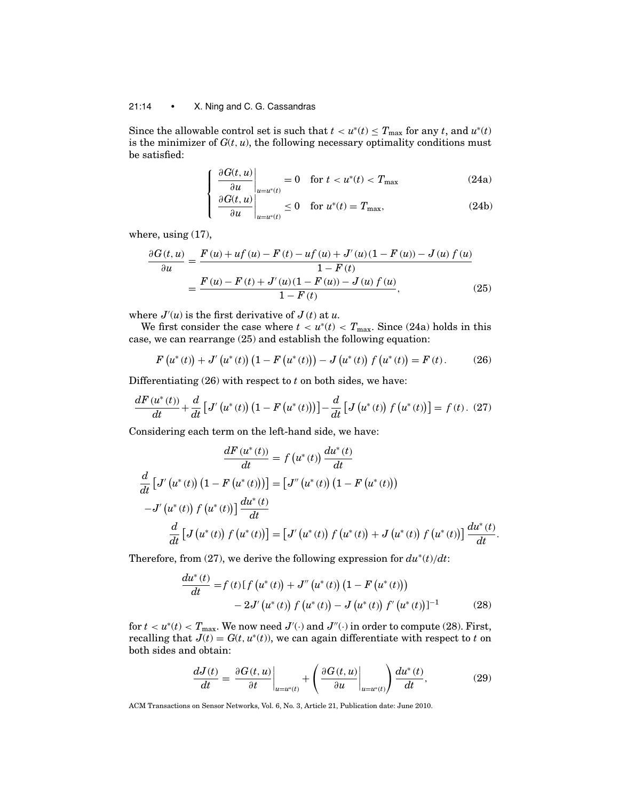#### 21:14 • X. Ning and C. G. Cassandras

Since the allowable control set is such that  $t < u^*(t) \leq T_{\text{max}}$  for any *t*, and  $u^*(t)$ is the minimizer of  $G(t, u)$ , the following necessary optimality conditions must be satisfied:

$$
\left\{ \left. \frac{\partial G(t, u)}{\partial u} \right|_{u = u^*(t)} = 0 \quad \text{for } t < u^*(t) < T_{\text{max}} \tag{24a}
$$

$$
\left\| \frac{\partial G(t, u)}{\partial u} \right\|_{u = u^*(t)} \le 0 \quad \text{for } u^*(t) = T_{\text{max}}, \tag{24b}
$$

where, using  $(17)$ ,

$$
\frac{\partial G(t, u)}{\partial u} = \frac{F(u) + uf(u) - F(t) - uf(u) + J'(u)(1 - F(u)) - J(u) f(u)}{1 - F(t)}
$$

$$
= \frac{F(u) - F(t) + J'(u)(1 - F(u)) - J(u) f(u)}{1 - F(t)},
$$
(25)

where  $J'(u)$  is the first derivative of  $J(t)$  at  $u$ .

We first consider the case where  $t < u^*(t) < T_{\text{max}}$ . Since (24a) holds in this case, we can rearrange (25) and establish the following equation:

$$
F(u^{*}(t)) + J'(u^{*}(t)) (1 - F(u^{*}(t))) - J(u^{*}(t)) f(u^{*}(t)) = F(t).
$$
 (26)

Differentiating (26) with respect to *t* on both sides, we have:

$$
\frac{dF(u^{*}(t))}{dt} + \frac{d}{dt} \left[ J'\left(u^{*}(t)\right) \left(1 - F\left(u^{*}(t)\right)\right) \right] - \frac{d}{dt} \left[ J\left(u^{*}(t)\right) f\left(u^{*}(t)\right) \right] = f(t). (27)
$$

Considering each term on the left-hand side, we have:

$$
\frac{dF(u^*(t))}{dt} = f(u^*(t)) \frac{du^*(t)}{dt}
$$

$$
\frac{d}{dt} [J'(u^*(t)) (1 - F(u^*(t)))] = [J''(u^*(t)) (1 - F(u^*(t)))
$$

$$
-J'(u^*(t)) f(u^*(t)) ] \frac{du^*(t)}{dt}
$$

$$
\frac{d}{dt} [J(u^*(t)) f(u^*(t))] = [J'(u^*(t)) f(u^*(t)) + J(u^*(t)) f(u^*(t)) ] \frac{du^*(t)}{dt}.
$$

Therefore, from  $(27)$ , we derive the following expression for  $du^*(t)/dt$ :

$$
\frac{du^*(t)}{dt} = f(t)[f(u^*(t)) + J''(u^*(t)) (1 - F(u^*(t))) \n- 2J'(u^*(t)) f(u^*(t)) - J(u^*(t)) f'(u^*(t))]^{-1}
$$
\n(28)

for  $t < u^*(t) < T_{\text{max}}$ . We now need  $J'(\cdot)$  and  $J''(\cdot)$  in order to compute (28). First, recalling that  $J(t) = G(t, u^*(t))$ , we can again differentiate with respect to *t* on both sides and obtain:

$$
\frac{dJ(t)}{dt} = \left. \frac{\partial G(t, u)}{\partial t} \right|_{u = u^*(t)} + \left( \left. \frac{\partial G(t, u)}{\partial u} \right|_{u = u^*(t)} \right) \frac{du^*(t)}{dt},\tag{29}
$$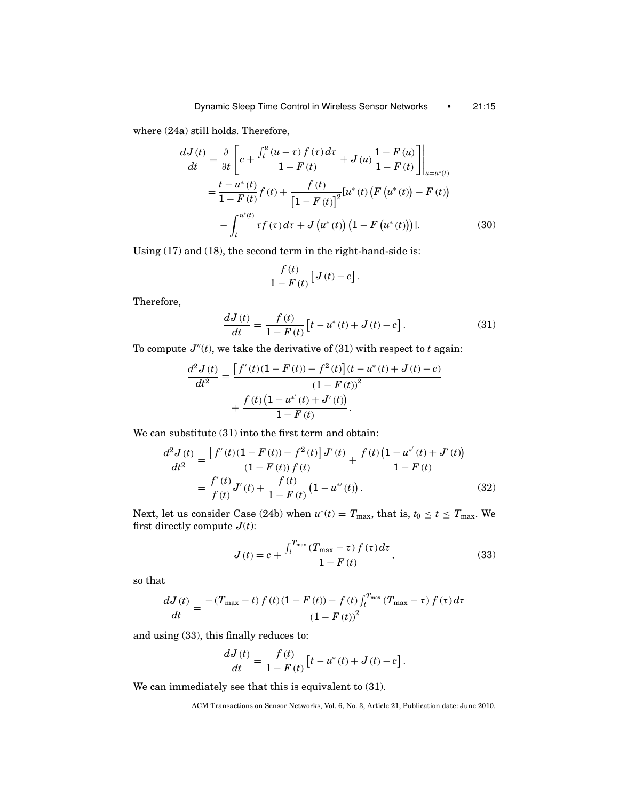where (24a) still holds. Therefore,

$$
\frac{dJ(t)}{dt} = \frac{\partial}{\partial t} \left[ c + \frac{\int_t^u (u - \tau) f(\tau) d\tau}{1 - F(t)} + J(u) \frac{1 - F(u)}{1 - F(t)} \right] \Big|_{u = u^*(t)}
$$

$$
= \frac{t - u^*(t)}{1 - F(t)} f(t) + \frac{f(t)}{\left[1 - F(t)\right]^2} [u^*(t) (F(u^*(t)) - F(t))
$$

$$
- \int_t^{u^*(t)} \tau f(\tau) d\tau + J(u^*(t)) (1 - F(u^*(t)) )]. \tag{30}
$$

Using (17) and (18), the second term in the right-hand-side is:

$$
\frac{f(t)}{1-F(t)}\big[J(t)-c\big]
$$

Therefore,

$$
\frac{dJ(t)}{dt} = \frac{f(t)}{1 - F(t)} \left[ t - u^*(t) + J(t) - c \right].
$$
\n(31)

.

To compute  $J''(t)$ , we take the derivative of (31) with respect to *t* again:

$$
\frac{d^2 J(t)}{dt^2} = \frac{\left[f'(t)(1 - F(t)) - f^2(t)\right](t - u^*(t) + J(t) - c)}{(1 - F(t))^2} + \frac{f(t)\left(1 - u^*(t) + J'(t)\right)}{1 - F(t)}.
$$

We can substitute (31) into the first term and obtain:

$$
\frac{d^2 J(t)}{dt^2} = \frac{\left[f'(t)(1 - F(t)) - f^2(t)\right]J'(t)}{(1 - F(t))f(t)} + \frac{f(t)\left(1 - u^{*'}(t) + J'(t)\right)}{1 - F(t)}
$$
\n
$$
= \frac{f'(t)}{f(t)}J'(t) + \frac{f(t)}{1 - F(t)}\left(1 - u^{*'}(t)\right). \tag{32}
$$

Next, let us consider Case (24b) when  $u^*(t) = T_{\text{max}}$ , that is,  $t_0 \le t \le T_{\text{max}}$ . We first directly compute  $J(t)$ :

$$
J(t) = c + \frac{\int_{t}^{T_{\text{max}}} (T_{\text{max}} - \tau) f(\tau) d\tau}{1 - F(t)},
$$
\n(33)

so that

$$
\frac{dJ(t)}{dt} = \frac{-(T_{\text{max}} - t) f(t)(1 - F(t)) - f(t) \int_t^{T_{\text{max}}} (T_{\text{max}} - \tau) f(\tau) d\tau}{(1 - F(t))^2}
$$

and using (33), this finally reduces to:

$$
\frac{dJ(t)}{dt} = \frac{f(t)}{1 - F(t)} \left[ t - u^{*}(t) + J(t) - c \right].
$$

We can immediately see that this is equivalent to (31).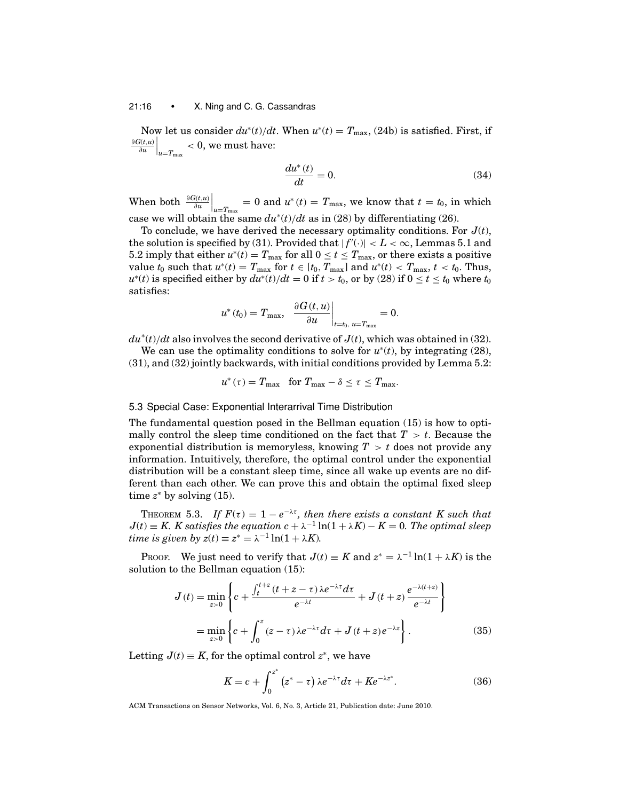#### 21:16 • X. Ning and C. G. Cassandras

Now let us consider  $du^*(t)/dt$ . When  $u^*(t) = T_{\text{max}}$ , (24b) is satisfied. First, if ∂*G*(*t*,*u*) ∂*u*  $\Big|_{u=T_{\max}} < 0$ , we must have:

$$
\frac{du^*(t)}{dt} = 0.\t\t(34)
$$

When both  $\frac{\partial G(t, u)}{\partial u}\Big|_{u=T_{\text{max}}} = 0$  and  $u^*(t) = T_{\text{max}}$ , we know that  $t = t_0$ , in which case we will obtain the same  $du^*(t)/dt$  as in (28) by differentiating (26).

To conclude, we have derived the necessary optimality conditions. For *J*(*t*), the solution is specified by (31). Provided that  $|f'(\cdot)| < L < \infty$ , Lemmas 5.1 and 5.2 imply that either  $u^*(t) = T_{\text{max}}$  for all  $0 \leq t \leq T_{\text{max}}$  , or there exists a positive value  $t_0$  such that  $u^*(t) = T_{\text{max}}$  for  $t \in [t_0, T_{\text{max}}]$  and  $u^*(t) < T_{\text{max}}$ ,  $t < t_0$ . Thus,  $u^*(t)$  is specified either by  $du^*(t)/dt = 0$  if  $t > t_0$ , or by (28) if  $0 \le t \le t_0$  where  $t_0$ satisfies:

$$
u^*(t_0) = T_{\max}, \left. \frac{\partial G(t, u)}{\partial u} \right|_{t = t_0, u = T_{\max}} = 0.
$$

 $du^*(t)/dt$  also involves the second derivative of  $J(t)$ , which was obtained in (32).

We can use the optimality conditions to solve for  $u^*(t)$ , by integrating (28), (31), and (32) jointly backwards, with initial conditions provided by Lemma 5.2:

$$
u^*(\tau) = T_{\text{max}} \quad \text{for } T_{\text{max}} - \delta \le \tau \le T_{\text{max}}.
$$

# 5.3 Special Case: Exponential Interarrival Time Distribution

The fundamental question posed in the Bellman equation (15) is how to optimally control the sleep time conditioned on the fact that  $T > t$ . Because the exponential distribution is memoryless, knowing  $T > t$  does not provide any information. Intuitively, therefore, the optimal control under the exponential distribution will be a constant sleep time, since all wake up events are no different than each other. We can prove this and obtain the optimal fixed sleep time  $z^*$  by solving (15).

THEOREM 5.3. If  $F(\tau) = 1 - e^{-\lambda \tau}$ , then there exists a constant K such that  $J(t) \equiv K$ . *K* satisfies the equation  $c + \lambda^{-1} \ln(1 + \lambda K) - K = 0$ . The optimal sleep *time is given by z*(*t*)  $\equiv z^* = \lambda^{-1} \ln(1 + \lambda K)$ .

PROOF. We just need to verify that  $J(t) \equiv K$  and  $z^* = \lambda^{-1} \ln(1 + \lambda K)$  is the solution to the Bellman equation (15):

$$
J(t) = \min_{z>0} \left\{ c + \frac{\int_t^{t+z} (t+z-\tau) \lambda e^{-\lambda \tau} d\tau}{e^{-\lambda t}} + J(t+z) \frac{e^{-\lambda(t+z)}}{e^{-\lambda t}} \right\}
$$
  
= 
$$
\min_{z>0} \left\{ c + \int_0^z (z-\tau) \lambda e^{-\lambda \tau} d\tau + J(t+z) e^{-\lambda z} \right\}.
$$
 (35)

Letting  $J(t) \equiv K$ , for the optimal control  $z^*$ , we have

$$
K = c + \int_0^{z^*} (z^* - \tau) \lambda e^{-\lambda \tau} d\tau + K e^{-\lambda z^*}.
$$
 (36)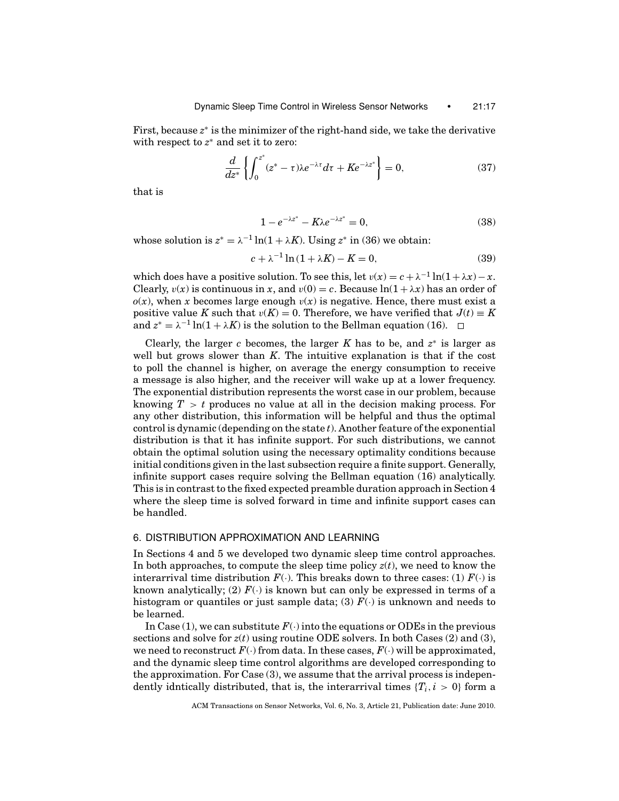First, because *z*<sup>∗</sup> is the minimizer of the right-hand side, we take the derivative with respect to *z*<sup>∗</sup> and set it to zero:

$$
\frac{d}{dz^*} \left\{ \int_0^{z^*} (z^* - \tau) \lambda e^{-\lambda \tau} d\tau + K e^{-\lambda z^*} \right\} = 0,
$$
\n(37)

that is

$$
1 - e^{-\lambda z^*} - K\lambda e^{-\lambda z^*} = 0,\tag{38}
$$

whose solution is  $z^* = \lambda^{-1} \ln(1 + \lambda K)$ . Using  $z^*$  in (36) we obtain:

$$
c + \lambda^{-1} \ln(1 + \lambda K) - K = 0,\t(39)
$$

which does have a positive solution. To see this, let  $v(x) = c + \lambda^{-1} \ln(1 + \lambda x) - x$ . Clearly,  $v(x)$  is continuous in *x*, and  $v(0) = c$ . Because  $ln(1 + \lambda x)$  has an order of  $o(x)$ , when *x* becomes large enough  $v(x)$  is negative. Hence, there must exist a positive value *K* such that  $v(K) = 0$ . Therefore, we have verified that  $J(t) \equiv K$ and  $z^* = \lambda^{-1} \ln(1 + \lambda K)$  is the solution to the Bellman equation (16).  $\Box$ 

Clearly, the larger *c* becomes, the larger *K* has to be, and  $z^*$  is larger as well but grows slower than *K*. The intuitive explanation is that if the cost to poll the channel is higher, on average the energy consumption to receive a message is also higher, and the receiver will wake up at a lower frequency. The exponential distribution represents the worst case in our problem, because knowing *T* > *t* produces no value at all in the decision making process. For any other distribution, this information will be helpful and thus the optimal control is dynamic (depending on the state *t*). Another feature of the exponential distribution is that it has infinite support. For such distributions, we cannot obtain the optimal solution using the necessary optimality conditions because initial conditions given in the last subsection require a finite support. Generally, infinite support cases require solving the Bellman equation (16) analytically. This is in contrast to the fixed expected preamble duration approach in Section 4 where the sleep time is solved forward in time and infinite support cases can be handled.

# 6. DISTRIBUTION APPROXIMATION AND LEARNING

In Sections 4 and 5 we developed two dynamic sleep time control approaches. In both approaches, to compute the sleep time policy  $z(t)$ , we need to know the interarrival time distribution  $F(.)$ . This breaks down to three cases: (1)  $F(.)$  is known analytically; (2)  $F(\cdot)$  is known but can only be expressed in terms of a histogram or quantiles or just sample data; (3)  $F(\cdot)$  is unknown and needs to be learned.

In Case (1), we can substitute  $F(\cdot)$  into the equations or ODEs in the previous sections and solve for *z*(*t*) using routine ODE solvers. In both Cases (2) and (3), we need to reconstruct  $F(\cdot)$  from data. In these cases,  $F(\cdot)$  will be approximated, and the dynamic sleep time control algorithms are developed corresponding to the approximation. For Case (3), we assume that the arrival process is independently idntically distributed, that is, the interarrival times  ${T_i, i > 0}$  form a

ACM Transactions on Sensor Networks, Vol. 6, No. 3, Article 21, Publication date: June 2010.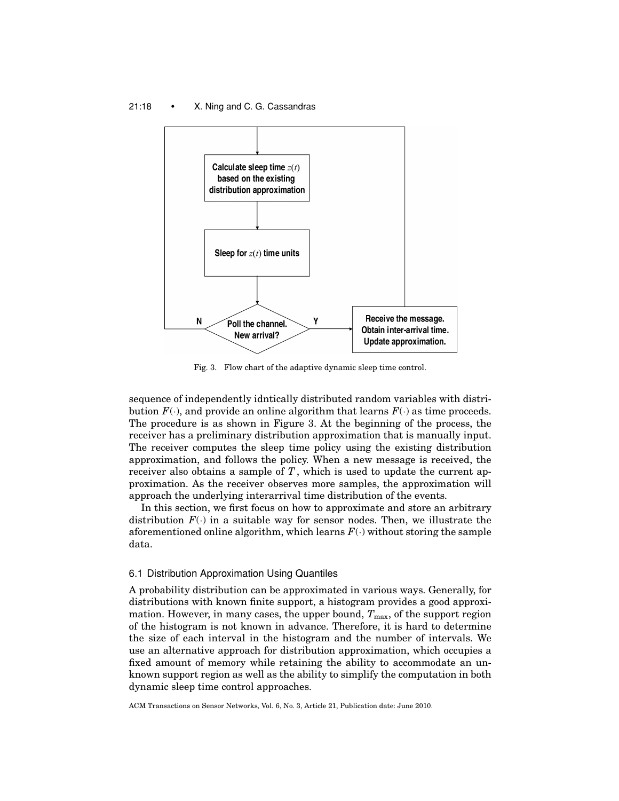#### 21:18 • X. Ning and C. G. Cassandras



Fig. 3. Flow chart of the adaptive dynamic sleep time control.

sequence of independently idntically distributed random variables with distribution  $F(\cdot)$ , and provide an online algorithm that learns  $F(\cdot)$  as time proceeds. The procedure is as shown in Figure 3. At the beginning of the process, the receiver has a preliminary distribution approximation that is manually input. The receiver computes the sleep time policy using the existing distribution approximation, and follows the policy. When a new message is received, the receiver also obtains a sample of *T*, which is used to update the current approximation. As the receiver observes more samples, the approximation will approach the underlying interarrival time distribution of the events.

In this section, we first focus on how to approximate and store an arbitrary distribution  $F(\cdot)$  in a suitable way for sensor nodes. Then, we illustrate the aforementioned online algorithm, which learns  $F(\cdot)$  without storing the sample data.

# 6.1 Distribution Approximation Using Quantiles

A probability distribution can be approximated in various ways. Generally, for distributions with known finite support, a histogram provides a good approximation. However, in many cases, the upper bound,  $T_{\text{max}}$ , of the support region of the histogram is not known in advance. Therefore, it is hard to determine the size of each interval in the histogram and the number of intervals. We use an alternative approach for distribution approximation, which occupies a fixed amount of memory while retaining the ability to accommodate an unknown support region as well as the ability to simplify the computation in both dynamic sleep time control approaches.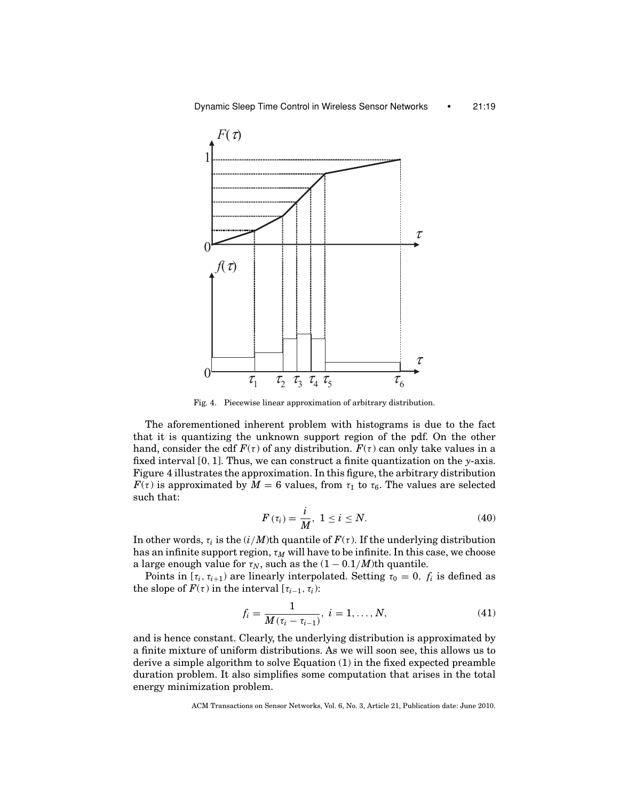Dynamic Sleep Time Control in Wireless Sensor Networks • 21:19



Fig. 4. Piecewise linear approximation of arbitrary distribution.

The aforementioned inherent problem with histograms is due to the fact that it is quantizing the unknown support region of the pdf. On the other hand, consider the cdf  $F(\tau)$  of any distribution.  $F(\tau)$  can only take values in a fixed interval [0, 1]. Thus, we can construct a finite quantization on the *y*-axis. Figure 4 illustrates the approximation. In this figure, the arbitrary distribution *F*( $\tau$ ) is approximated by *M* = 6 values, from  $\tau_1$  to  $\tau_6$ . The values are selected such that:

$$
F(\tau_i) = \frac{i}{M}, \ 1 \le i \le N. \tag{40}
$$

In other words,  $\tau_i$  is the  $(i/M)$ th quantile of  $F(\tau)$ . If the underlying distribution has an infinite support region,  $\tau_M$  will have to be infinite. In this case, we choose a large enough value for  $\tau_N$ , such as the  $(1 - 0.1/M)$ th quantile.

Points in  $[\tau_i, \tau_{i+1})$  are linearly interpolated. Setting  $\tau_0 = 0$ ,  $f_i$  is defined as the slope of  $F(\tau)$  in the interval [ $\tau_{i-1}, \tau_i$ ):

$$
f_i = \frac{1}{M(\tau_i - \tau_{i-1})}, \ i = 1, \dots, N,
$$
\n(41)

and is hence constant. Clearly, the underlying distribution is approximated by a finite mixture of uniform distributions. As we will soon see, this allows us to derive a simple algorithm to solve Equation (1) in the fixed expected preamble duration problem. It also simplifies some computation that arises in the total energy minimization problem.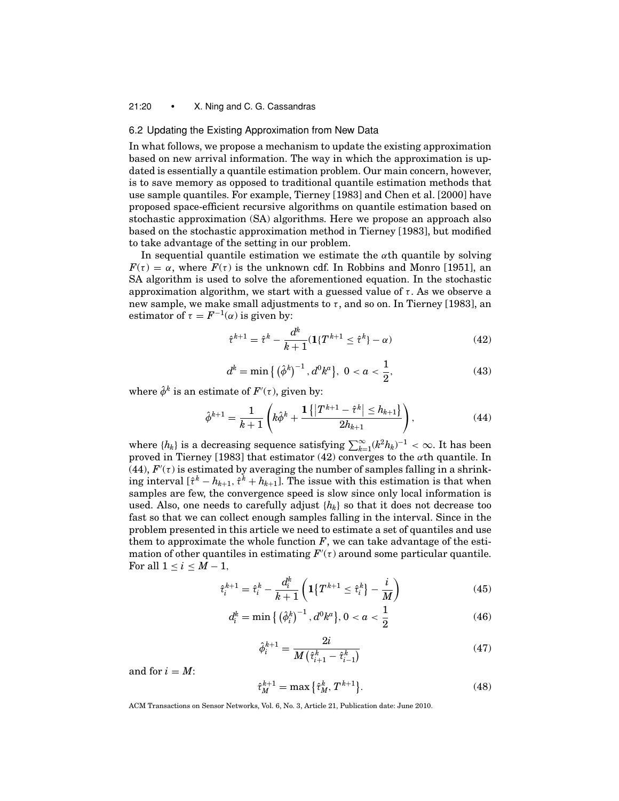# 21:20 • X. Ning and C. G. Cassandras

# 6.2 Updating the Existing Approximation from New Data

In what follows, we propose a mechanism to update the existing approximation based on new arrival information. The way in which the approximation is updated is essentially a quantile estimation problem. Our main concern, however, is to save memory as opposed to traditional quantile estimation methods that use sample quantiles. For example, Tierney [1983] and Chen et al. [2000] have proposed space-efficient recursive algorithms on quantile estimation based on stochastic approximation (SA) algorithms. Here we propose an approach also based on the stochastic approximation method in Tierney [1983], but modified to take advantage of the setting in our problem.

In sequential quantile estimation we estimate the  $\alpha$ th quantile by solving  $F(\tau) = \alpha$ , where  $F(\tau)$  is the unknown cdf. In Robbins and Monro [1951], an SA algorithm is used to solve the aforementioned equation. In the stochastic approximation algorithm, we start with a guessed value of  $\tau$ . As we observe a new sample, we make small adjustments to  $\tau$ , and so on. In Tierney [1983], an estimator of  $\tau = F^{-1}(\alpha)$  is given by:

$$
\hat{\tau}^{k+1} = \hat{\tau}^k - \frac{d^k}{k+1} (\mathbf{1} \{ T^{k+1} \le \hat{\tau}^k \} - \alpha)
$$
\n(42)

$$
d^{k} = \min\left\{ (\hat{\phi}^{k})^{-1}, d^{0}k^{a} \right\}, \ 0 < a < \frac{1}{2}, \tag{43}
$$

where  $\hat{\phi}^k$  is an estimate of  $F'(\tau),$  given by:

$$
\hat{\phi}^{k+1} = \frac{1}{k+1} \left( k \hat{\phi}^k + \frac{1\left\{ |T^{k+1} - \hat{\tau}^k| \le h_{k+1} \right\}}{2h_{k+1}} \right),\tag{44}
$$

where  $\{h_k\}$  is a decreasing sequence satisfying  $\sum_{k=1}^{\infty} (k^2 h_k)^{-1} < \infty$ . It has been proved in Tierney [1983] that estimator (42) converges to the  $\alpha$ th quantile. In  $(44)$ ,  $F'(\tau)$  is estimated by averaging the number of samples falling in a shrinking interval  $[\hat{\tau}^k - h_{k+1}, \hat{\tau}^k + h_{k+1}]$ . The issue with this estimation is that when samples are few, the convergence speed is slow since only local information is used. Also, one needs to carefully adjust  $\{h_k\}$  so that it does not decrease too fast so that we can collect enough samples falling in the interval. Since in the problem presented in this article we need to estimate a set of quantiles and use them to approximate the whole function  $F$ , we can take advantage of the estimation of other quantiles in estimating  $F'(t)$  around some particular quantile. For all  $1 \leq i \leq M-1$ ,

$$
\hat{\tau}_i^{k+1} = \hat{\tau}_i^k - \frac{d_i^k}{k+1} \left( \mathbf{1} \{ T^{k+1} \le \hat{\tau}_i^k \} - \frac{i}{M} \right) \tag{45}
$$

$$
d_i^k = \min\left\{ \left( \hat{\phi}_i^k \right)^{-1}, d^0 k^a \right\}, 0 < a < \frac{1}{2} \tag{46}
$$

$$
\hat{\phi}_i^{k+1} = \frac{2i}{M\left(\hat{\tau}_{i+1}^k - \hat{\tau}_{i-1}^k\right)}\tag{47}
$$

and for  $i = M$ :

$$
\hat{\tau}_M^{k+1} = \max\left\{\hat{\tau}_M^k, T^{k+1}\right\}.
$$
\n(48)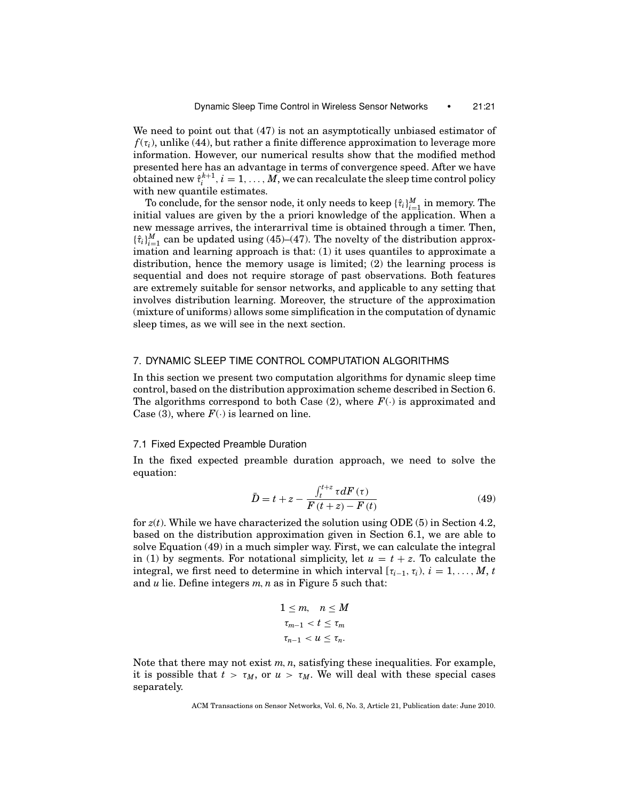We need to point out that  $(47)$  is not an asymptotically unbiased estimator of  $f(\tau_i)$ , unlike (44), but rather a finite difference approximation to leverage more information. However, our numerical results show that the modified method presented here has an advantage in terms of convergence speed. After we have  $\hat{\sigma}$ obtained new  $\hat{\tau}^{k+1}_i$ ,  $i=1,\ldots,M,$  we can recalculate the sleep time control policy with new quantile estimates.

To conclude, for the sensor node, it only needs to keep  $\{\hat{\tau}_i\}_{i=1}^M$  in memory. The initial values are given by the a priori knowledge of the application. When a new message arrives, the interarrival time is obtained through a timer. Then,  ${\lbrace \hat{\tau}_i \rbrace}_{i=1}^M$  can be updated using (45)–(47). The novelty of the distribution approximation and learning approach is that: (1) it uses quantiles to approximate a distribution, hence the memory usage is limited; (2) the learning process is sequential and does not require storage of past observations. Both features are extremely suitable for sensor networks, and applicable to any setting that involves distribution learning. Moreover, the structure of the approximation (mixture of uniforms) allows some simplification in the computation of dynamic sleep times, as we will see in the next section.

# 7. DYNAMIC SLEEP TIME CONTROL COMPUTATION ALGORITHMS

In this section we present two computation algorithms for dynamic sleep time control, based on the distribution approximation scheme described in Section 6. The algorithms correspond to both Case (2), where  $F(\cdot)$  is approximated and Case (3), where  $F(\cdot)$  is learned on line.

# 7.1 Fixed Expected Preamble Duration

In the fixed expected preamble duration approach, we need to solve the equation:

$$
\bar{D} = t + z - \frac{\int_{t}^{t+z} \tau dF(\tau)}{F(t+z) - F(t)}
$$
(49)

for  $z(t)$ . While we have characterized the solution using ODE (5) in Section 4.2, based on the distribution approximation given in Section 6.1, we are able to solve Equation (49) in a much simpler way. First, we can calculate the integral in (1) by segments. For notational simplicity, let  $u = t + z$ . To calculate the integral, we first need to determine in which interval  $[\tau_{i-1}, \tau_i]$ ,  $i = 1, \ldots, M$ , *t* and *u* lie. Define integers *m*, *n* as in Figure 5 such that:

$$
1\leq m,\quad n\leq M\\ \tau_{m-1}
$$

Note that there may not exist *m*, *n*, satisfying these inequalities. For example, it is possible that  $t > \tau_M$ , or  $u > \tau_M$ . We will deal with these special cases separately.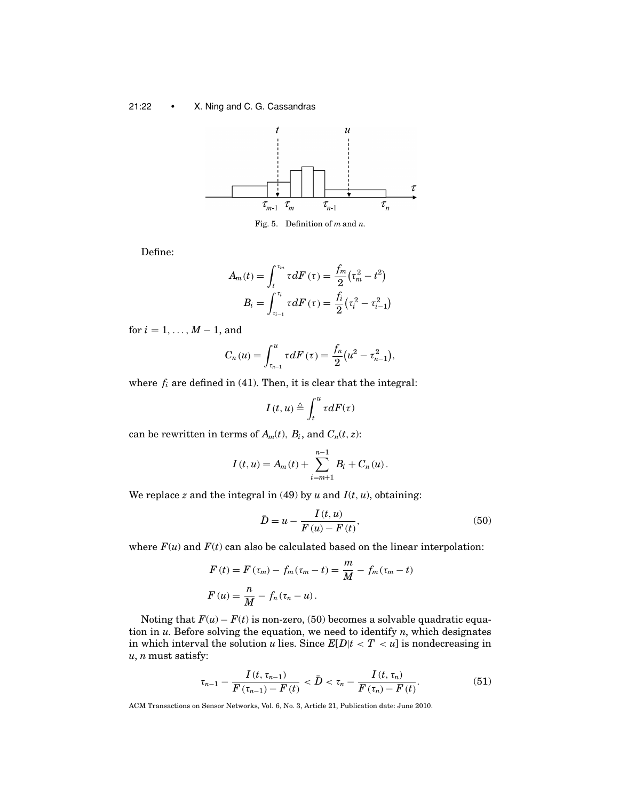# 21:22 • X. Ning and C. G. Cassandras



Fig. 5. Definition of *m* and *n*.

Define:

$$
A_m(t) = \int_t^{\tau_m} \tau dF(\tau) = \frac{f_m}{2} (\tau_m^2 - t^2)
$$

$$
B_i = \int_{\tau_{i-1}}^{\tau_i} \tau dF(\tau) = \frac{f_i}{2} (\tau_i^2 - \tau_{i-1}^2)
$$

for  $i = 1, ..., M - 1$ , and

$$
C_n(u) = \int_{\tau_{n-1}}^u \tau dF(\tau) = \frac{f_n}{2}(u^2 - \tau_{n-1}^2),
$$

where  $f_i$  are defined in (41). Then, it is clear that the integral:

$$
I(t, u) \triangleq \int_t^u \tau dF(\tau)
$$

can be rewritten in terms of  $A_m(t)$ ,  $B_i$ , and  $C_n(t, z)$ :

$$
I(t, u) = A_m(t) + \sum_{i=m+1}^{n-1} B_i + C_n(u).
$$

We replace *z* and the integral in (49) by *u* and  $I(t, u)$ , obtaining:

$$
\bar{D} = u - \frac{I(t, u)}{F(u) - F(t)},\tag{50}
$$

where  $F(u)$  and  $F(t)$  can also be calculated based on the linear interpolation:

$$
F(t) = F(\tau_m) - f_m(\tau_m - t) = \frac{m}{M} - f_m(\tau_m - t)
$$

$$
F(u) = \frac{n}{M} - f_n(\tau_n - u).
$$

Noting that  $F(u) - F(t)$  is non-zero, (50) becomes a solvable quadratic equation in *u*. Before solving the equation, we need to identify *n*, which designates in which interval the solution *u* lies. Since  $E[D|t < T < u]$  is nondecreasing in *u*, *n* must satisfy:

$$
\tau_{n-1} - \frac{I(t, \tau_{n-1})}{F(\tau_{n-1}) - F(t)} < \bar{D} < \tau_n - \frac{I(t, \tau_n)}{F(\tau_n) - F(t)}.\tag{51}
$$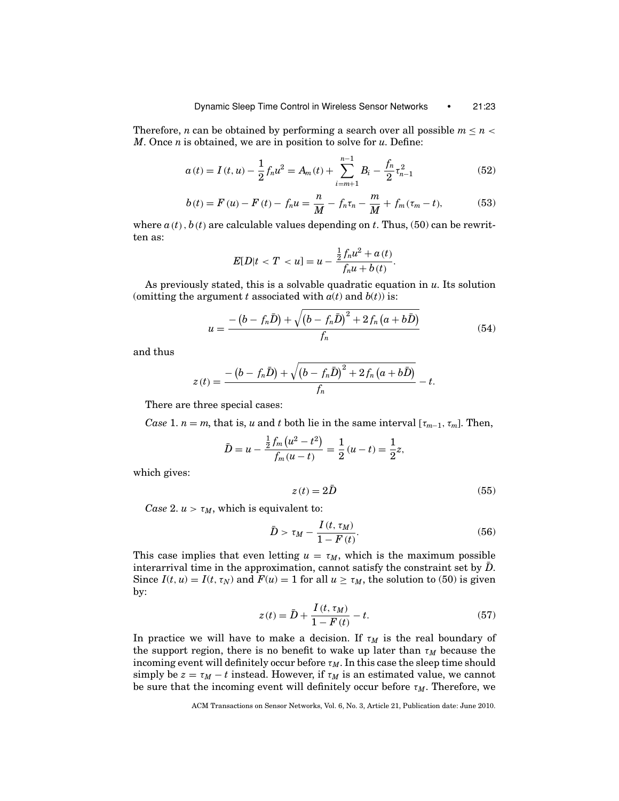Therefore, *n* can be obtained by performing a search over all possible  $m < n <$ *M*. Once *n* is obtained, we are in position to solve for *u*. Define:

$$
a(t) = I(t, u) - \frac{1}{2} f_n u^2 = A_m(t) + \sum_{i=m+1}^{n-1} B_i - \frac{f_n}{2} \tau_{n-1}^2
$$
 (52)

$$
b(t) = F(u) - F(t) - f_n u = \frac{n}{M} - f_n \tau_n - \frac{m}{M} + f_m(\tau_m - t),
$$
 (53)

where  $a(t)$ ,  $b(t)$  are calculable values depending on *t*. Thus, (50) can be rewritten as:

$$
E[D|t < T < u] = u - \frac{\frac{1}{2} f_n u^2 + a(t)}{f_n u + b(t)}.
$$

As previously stated, this is a solvable quadratic equation in *u*. Its solution (omitting the argument *t* associated with  $a(t)$  and  $b(t)$ ) is:

$$
u = \frac{- (b - f_n \bar{D}) + \sqrt{(b - f_n \bar{D})^2 + 2f_n(a + b\bar{D})}}{f_n}
$$
(54)

and thus

$$
z(t) = \frac{-\left(b - f_n \bar{D}\right) + \sqrt{\left(b - f_n \bar{D}\right)^2 + 2f_n\left(a + b\bar{D}\right)}}{f_n} - t.
$$

There are three special cases:

*Case* 1. *n* = *m*, that is, *u* and *t* both lie in the same interval  $[\tau_{m-1}, \tau_m]$ . Then,

$$
\bar{D} = u - \frac{\frac{1}{2} f_m (u^2 - t^2)}{f_m (u - t)} = \frac{1}{2} (u - t) = \frac{1}{2} z,
$$

which gives:

$$
z(t) = 2\bar{D} \tag{55}
$$

*Case* 2.  $u > \tau_M$ , which is equivalent to:

$$
\bar{D} > \tau_M - \frac{I(t, \tau_M)}{1 - F(t)}.\tag{56}
$$

This case implies that even letting  $u = \tau_M$ , which is the maximum possible interarrival time in the approximation, cannot satisfy the constraint set by *D*. Since  $I(t, u) = I(t, \tau_N)$  and  $F(u) = 1$  for all  $u \ge \tau_M$ , the solution to (50) is given by:

$$
z(t) = \bar{D} + \frac{I(t, \tau_M)}{1 - F(t)} - t.
$$
 (57)

In practice we will have to make a decision. If  $\tau_M$  is the real boundary of the support region, there is no benefit to wake up later than  $\tau_M$  because the incoming event will definitely occur before  $\tau_M$ . In this case the sleep time should simply be  $z = \tau_M - t$  instead. However, if  $\tau_M$  is an estimated value, we cannot be sure that the incoming event will definitely occur before  $\tau_M$ . Therefore, we

ACM Transactions on Sensor Networks, Vol. 6, No. 3, Article 21, Publication date: June 2010.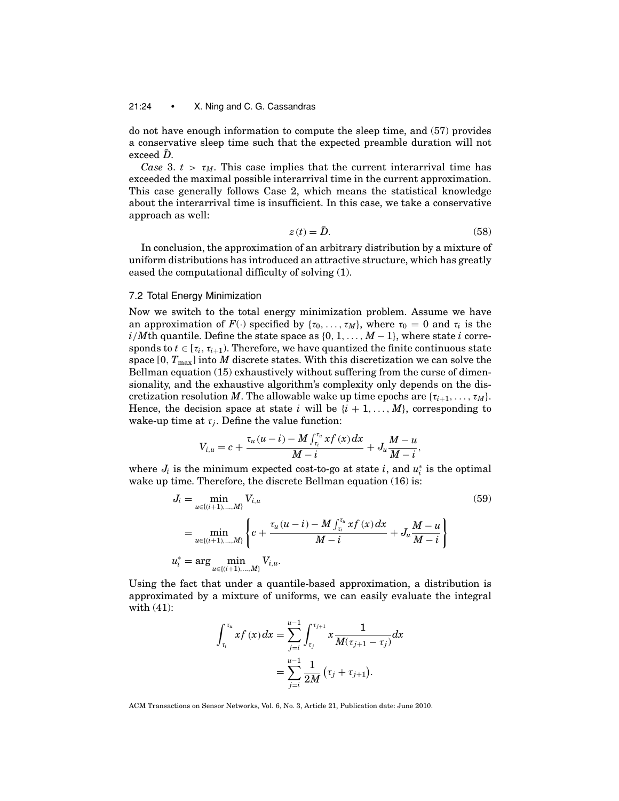# 21:24 • X. Ning and C. G. Cassandras

do not have enough information to compute the sleep time, and (57) provides a conservative sleep time such that the expected preamble duration will not exceed *D*.

*Case* 3.  $t > \tau_M$ . This case implies that the current interarrival time has exceeded the maximal possible interarrival time in the current approximation. This case generally follows Case 2, which means the statistical knowledge about the interarrival time is insufficient. In this case, we take a conservative approach as well:

$$
z(t) = \bar{D}.\tag{58}
$$

In conclusion, the approximation of an arbitrary distribution by a mixture of uniform distributions has introduced an attractive structure, which has greatly eased the computational difficulty of solving (1).

### 7.2 Total Energy Minimization

Now we switch to the total energy minimization problem. Assume we have an approximation of  $F(\cdot)$  specified by  $\{\tau_0, \ldots, \tau_M\}$ , where  $\tau_0 = 0$  and  $\tau_i$  is the *i*/*M*th quantile. Define the state space as  $\{0, 1, \ldots, M-1\}$ , where state *i* corresponds to  $t \in [\tau_i, \tau_{i+1})$ . Therefore, we have quantized the finite continuous state space  $[0, T_{\text{max}}]$  into *M* discrete states. With this discretization we can solve the Bellman equation (15) exhaustively without suffering from the curse of dimensionality, and the exhaustive algorithm's complexity only depends on the discretization resolution *M*. The allowable wake up time epochs are  $\{\tau_{i+1},\ldots,\tau_M\}$ . Hence, the decision space at state *i* will be  $\{i + 1, \ldots, M\}$ , corresponding to wake-up time at  $\tau_i$ . Define the value function:

$$
V_{i,u}=c+\frac{\tau_u(u-i)-M\int_{\tau_i}^{\tau_u}xf(x)dx}{M-i}+J_u\frac{M-u}{M-i},
$$

where  $J_i$  is the minimum expected cost-to-go at state  $i$ , and  $u_i^*$  is the optimal wake up time. Therefore, the discrete Bellman equation (16) is:

$$
J_{i} = \min_{u \in \{(i+1),...,M\}} V_{i,u}
$$
(59)  

$$
= \min_{u \in \{(i+1),...,M\}} \left\{ c + \frac{\tau_{u}(u-i) - M \int_{\tau_{i}}^{\tau_{u}} x f(x) dx}{M - i} + J_{u} \frac{M - u}{M - i} \right\}
$$
  

$$
u_{i}^{*} = \arg \min_{u \in \{(i+1),...,M\}} V_{i,u}.
$$

Using the fact that under a quantile-based approximation, a distribution is approximated by a mixture of uniforms, we can easily evaluate the integral with (41):

$$
\int_{\tau_i}^{\tau_u} x f(x) dx = \sum_{j=i}^{u-1} \int_{\tau_j}^{\tau_{j+1}} x \frac{1}{M(\tau_{j+1} - \tau_j)} dx
$$
  
= 
$$
\sum_{j=i}^{u-1} \frac{1}{2M} (\tau_j + \tau_{j+1}).
$$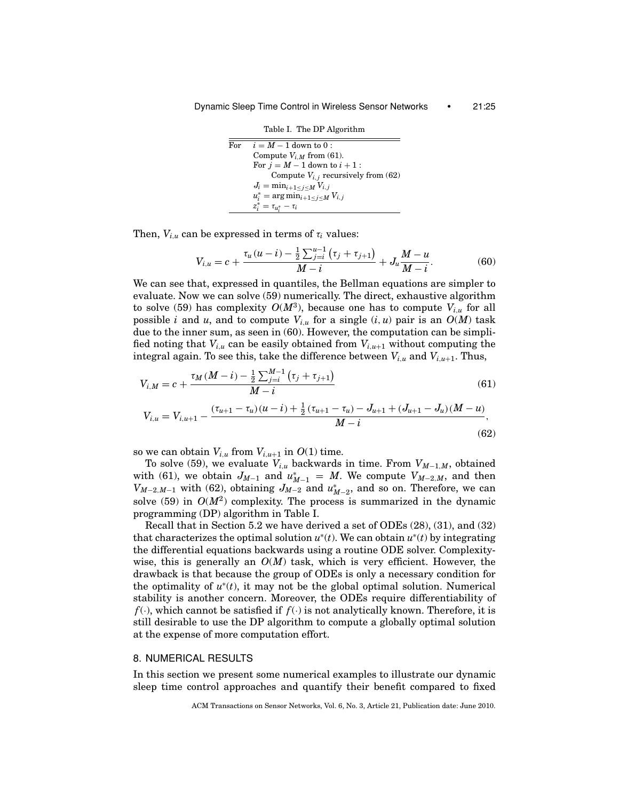|     | Table I. The DP Algorithm                      |
|-----|------------------------------------------------|
| For | $i = M - 1$ down to 0 :                        |
|     | Compute $V_{i,M}$ from (61).                   |
|     | For $j = M - 1$ down to $i + 1$ :              |
|     | Compute $V_{i,j}$ recursively from (62)        |
|     | $J_i = \min_{i+1 \leq j \leq M} V_{i,j}$       |
|     | $u_i^* = \arg\min_{i+1 \leq j \leq M} V_{i,j}$ |
|     | $z_i^* = \tau_{u_i^*} - \tau_i$                |

 $T_{\text{max}}$   $T_{\text{max}}$   $T_{\text{max}}$   $T_{\text{max}}$ 

Then,  $V_{i,u}$  can be expressed in terms of  $\tau_i$  values:

$$
V_{i,u} = c + \frac{\tau_u (u - i) - \frac{1}{2} \sum_{j=i}^{u-1} (\tau_j + \tau_{j+1})}{M - i} + J_u \frac{M - u}{M - i}.
$$
 (60)

We can see that, expressed in quantiles, the Bellman equations are simpler to evaluate. Now we can solve (59) numerically. The direct, exhaustive algorithm to solve (59) has complexity  $O(M^3)$ , because one has to compute  $V_{i,u}$  for all possible *i* and *u*, and to compute  $V_{i,u}$  for a single  $(i, u)$  pair is an  $O(M)$  task due to the inner sum, as seen in (60). However, the computation can be simplified noting that  $V_{i,u}$  can be easily obtained from  $V_{i,u+1}$  without computing the integral again. To see this, take the difference between  $V_{i,u}$  and  $V_{i,u+1}$ . Thus,

$$
V_{i,M} = c + \frac{\tau_M (M - i) - \frac{1}{2} \sum_{j=i}^{M-1} (\tau_j + \tau_{j+1})}{M - i}
$$
(61)  

$$
(\tau_{i+1} - \tau_{i}) (u - i) + \frac{1}{2} (\tau_{i+1} - \tau_{i}) - J_{i+1} + (J_{i+1} - J_{i}) (M - u)
$$

$$
V_{i,u} = V_{i,u+1} - \frac{(\tau_{u+1} - \tau_u)(u-i) + \frac{1}{2}(\tau_{u+1} - \tau_u) - J_{u+1} + (J_{u+1} - J_u)(M - u)}{M - i},
$$
\n(62)

so we can obtain  $V_{i,u}$  from  $V_{i,u+1}$  in  $O(1)$  time.

To solve (59), we evaluate  $V_{i,u}$  backwards in time. From  $V_{M-1,M}$ , obtained with (61), we obtain  $J_{M-1}$  and  $u_{M-1}^* = M$ . We compute  $V_{M-2,M}$ , and then *V<sub>M−2,M−1</sub>* with (62), obtaining  $J_{M-2}$  and  $u_{M-2}^*$ , and so on. Therefore, we can solve  $(59)$  in  $O(M^2)$  complexity. The process is summarized in the dynamic programming (DP) algorithm in Table I.

Recall that in Section 5.2 we have derived a set of ODEs (28), (31), and (32) that characterizes the optimal solution  $u^*(t)$ . We can obtain  $u^*(t)$  by integrating the differential equations backwards using a routine ODE solver. Complexitywise, this is generally an  $O(M)$  task, which is very efficient. However, the drawback is that because the group of ODEs is only a necessary condition for the optimality of  $u^*(t)$ , it may not be the global optimal solution. Numerical stability is another concern. Moreover, the ODEs require differentiability of  $f(.)$ , which cannot be satisfied if  $f(.)$  is not analytically known. Therefore, it is still desirable to use the DP algorithm to compute a globally optimal solution at the expense of more computation effort.

# 8. NUMERICAL RESULTS

In this section we present some numerical examples to illustrate our dynamic sleep time control approaches and quantify their benefit compared to fixed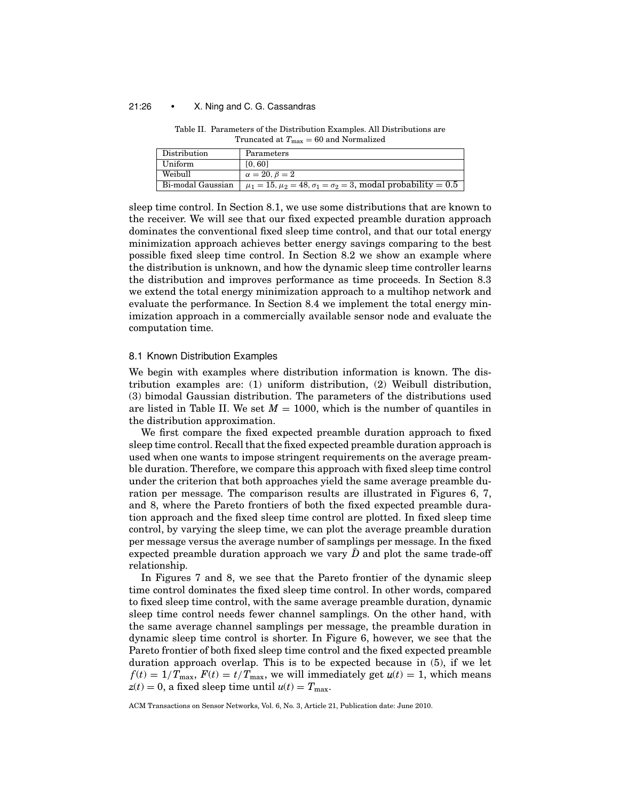#### 21:26 • X. Ning and C. G. Cassandras

Table II. Parameters of the Distribution Examples. All Distributions are Truncated at  $T_{\text{max}} = 60$  and Normalized

| Distribution      | Parameters                                                                  |
|-------------------|-----------------------------------------------------------------------------|
| Uniform           | [0.60]                                                                      |
| Weibull           | $\alpha = 20, \beta = 2$                                                    |
| Bi-modal Gaussian | $\mu_1 = 15, \mu_2 = 48, \sigma_1 = \sigma_2 = 3$ , modal probability = 0.5 |

sleep time control. In Section 8.1, we use some distributions that are known to the receiver. We will see that our fixed expected preamble duration approach dominates the conventional fixed sleep time control, and that our total energy minimization approach achieves better energy savings comparing to the best possible fixed sleep time control. In Section 8.2 we show an example where the distribution is unknown, and how the dynamic sleep time controller learns the distribution and improves performance as time proceeds. In Section 8.3 we extend the total energy minimization approach to a multihop network and evaluate the performance. In Section 8.4 we implement the total energy minimization approach in a commercially available sensor node and evaluate the computation time.

# 8.1 Known Distribution Examples

We begin with examples where distribution information is known. The distribution examples are: (1) uniform distribution, (2) Weibull distribution, (3) bimodal Gaussian distribution. The parameters of the distributions used are listed in Table II. We set  $M = 1000$ , which is the number of quantiles in the distribution approximation.

We first compare the fixed expected preamble duration approach to fixed sleep time control. Recall that the fixed expected preamble duration approach is used when one wants to impose stringent requirements on the average preamble duration. Therefore, we compare this approach with fixed sleep time control under the criterion that both approaches yield the same average preamble duration per message. The comparison results are illustrated in Figures 6, 7, and 8, where the Pareto frontiers of both the fixed expected preamble duration approach and the fixed sleep time control are plotted. In fixed sleep time control, by varying the sleep time, we can plot the average preamble duration per message versus the average number of samplings per message. In the fixed expected preamble duration approach we vary  $\bar{D}$  and plot the same trade-off relationship.

In Figures 7 and 8, we see that the Pareto frontier of the dynamic sleep time control dominates the fixed sleep time control. In other words, compared to fixed sleep time control, with the same average preamble duration, dynamic sleep time control needs fewer channel samplings. On the other hand, with the same average channel samplings per message, the preamble duration in dynamic sleep time control is shorter. In Figure 6, however, we see that the Pareto frontier of both fixed sleep time control and the fixed expected preamble duration approach overlap. This is to be expected because in (5), if we let  $f(t) = 1/T_{\text{max}}$ ,  $F(t) = t/T_{\text{max}}$ , we will immediately get  $u(t) = 1$ , which means  $z(t) = 0$ , a fixed sleep time until  $u(t) = T_{\text{max}}$ .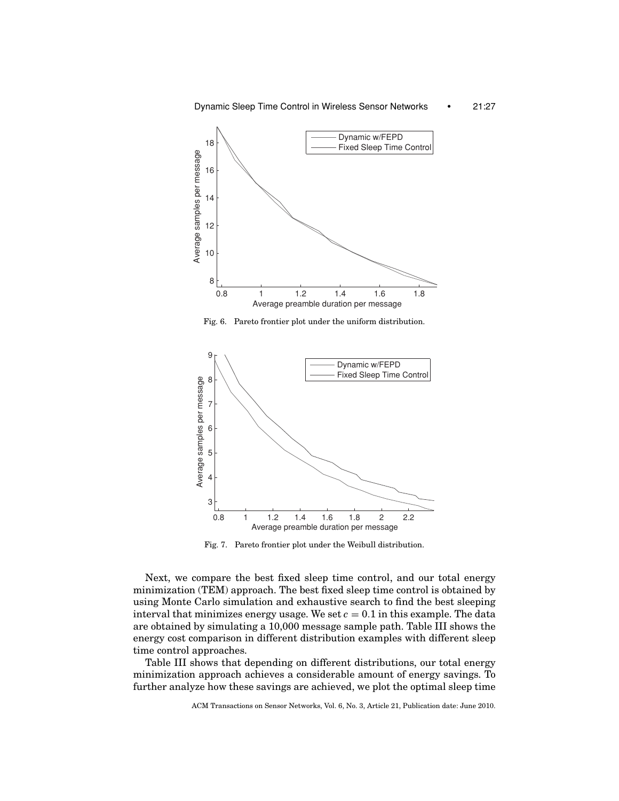

Dynamic Sleep Time Control in Wireless Sensor Networks • 21:27

Fig. 6. Pareto frontier plot under the uniform distribution.



Fig. 7. Pareto frontier plot under the Weibull distribution.

Next, we compare the best fixed sleep time control, and our total energy minimization (TEM) approach. The best fixed sleep time control is obtained by using Monte Carlo simulation and exhaustive search to find the best sleeping interval that minimizes energy usage. We set  $c = 0.1$  in this example. The data are obtained by simulating a 10,000 message sample path. Table III shows the energy cost comparison in different distribution examples with different sleep time control approaches.

Table III shows that depending on different distributions, our total energy minimization approach achieves a considerable amount of energy savings. To further analyze how these savings are achieved, we plot the optimal sleep time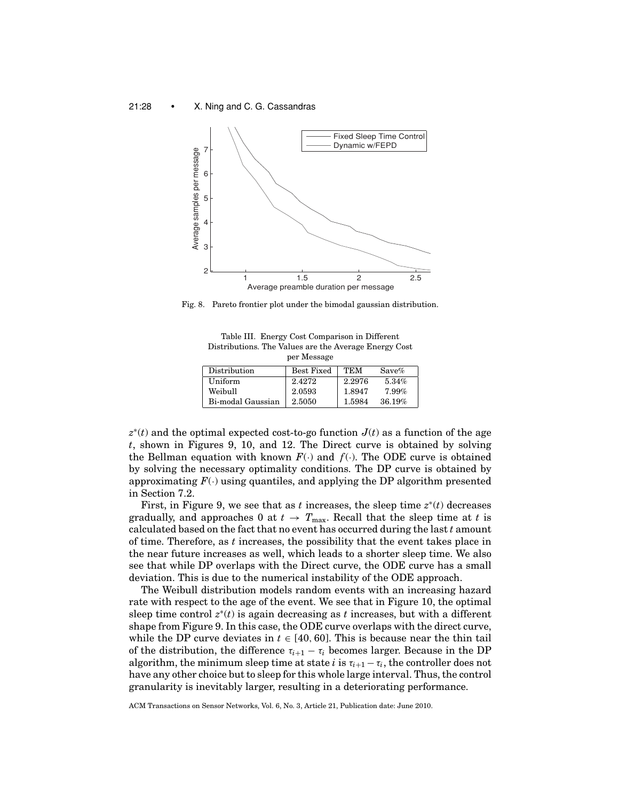#### 21:28 • X. Ning and C. G. Cassandras



Fig. 8. Pareto frontier plot under the bimodal gaussian distribution.

Table III. Energy Cost Comparison in Different Distributions. The Values are the Average Energy Cost per Message

| Distribution      | <b>Best Fixed</b> | TEM    | Save%  |
|-------------------|-------------------|--------|--------|
| Uniform           | 2.4272            | 2.2976 | 5.34%  |
| Weibull           | 2.0593            | 1.8947 | 7.99%  |
| Bi-modal Gaussian | 2.5050            | 1.5984 | 36.19% |

 $z^*(t)$  and the optimal expected cost-to-go function  $J(t)$  as a function of the age *t*, shown in Figures 9, 10, and 12. The Direct curve is obtained by solving the Bellman equation with known  $F(\cdot)$  and  $f(\cdot)$ . The ODE curve is obtained by solving the necessary optimality conditions. The DP curve is obtained by approximating  $F(.)$  using quantiles, and applying the DP algorithm presented in Section 7.2.

First, in Figure 9, we see that as  $t$  increases, the sleep time  $z^*(t)$  decreases gradually, and approaches 0 at  $t \rightarrow T_{\text{max}}$ . Recall that the sleep time at t is calculated based on the fact that no event has occurred during the last *t* amount of time. Therefore, as *t* increases, the possibility that the event takes place in the near future increases as well, which leads to a shorter sleep time. We also see that while DP overlaps with the Direct curve, the ODE curve has a small deviation. This is due to the numerical instability of the ODE approach.

The Weibull distribution models random events with an increasing hazard rate with respect to the age of the event. We see that in Figure 10, the optimal sleep time control  $z^*(t)$  is again decreasing as *t* increases, but with a different shape from Figure 9. In this case, the ODE curve overlaps with the direct curve, while the DP curve deviates in  $t \in [40, 60]$ . This is because near the thin tail of the distribution, the difference  $\tau_{i+1} - \tau_i$  becomes larger. Because in the DP algorithm, the minimum sleep time at state *i* is  $\tau_{i+1} - \tau_i$ , the controller does not have any other choice but to sleep for this whole large interval. Thus, the control granularity is inevitably larger, resulting in a deteriorating performance.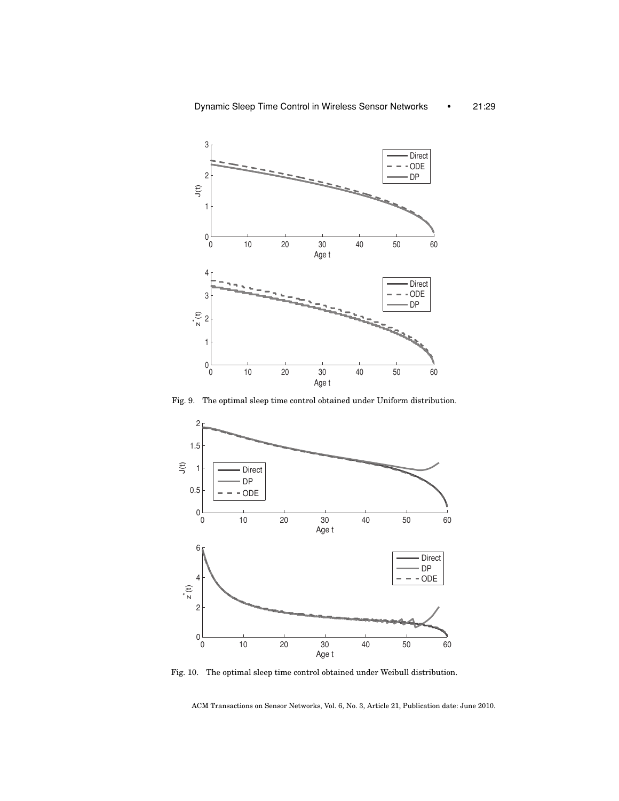

Fig. 9. The optimal sleep time control obtained under Uniform distribution.



Fig. 10. The optimal sleep time control obtained under Weibull distribution.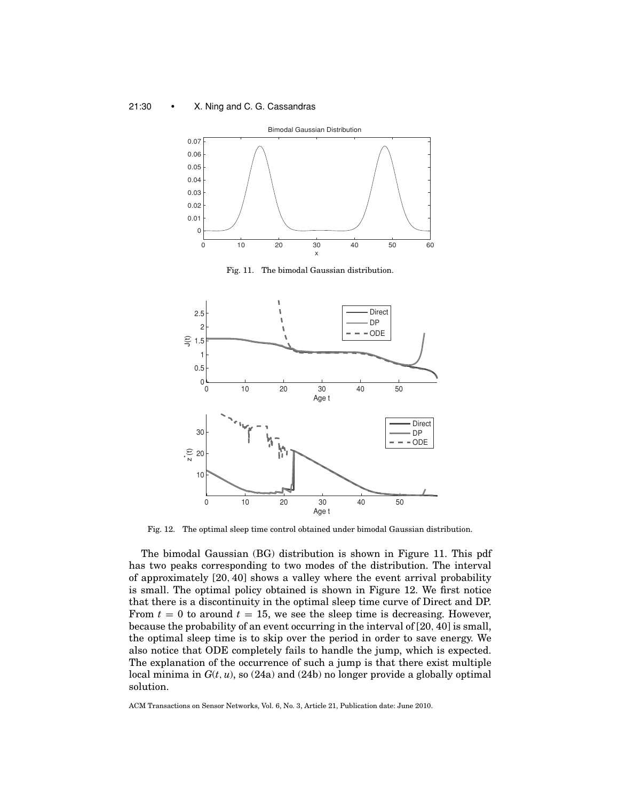#### 21:30 • X. Ning and C. G. Cassandras



Fig. 11. The bimodal Gaussian distribution.



Fig. 12. The optimal sleep time control obtained under bimodal Gaussian distribution.

The bimodal Gaussian (BG) distribution is shown in Figure 11. This pdf has two peaks corresponding to two modes of the distribution. The interval of approximately [20, 40] shows a valley where the event arrival probability is small. The optimal policy obtained is shown in Figure 12. We first notice that there is a discontinuity in the optimal sleep time curve of Direct and DP. From  $t = 0$  to around  $t = 15$ , we see the sleep time is decreasing. However, because the probability of an event occurring in the interval of [20, 40] is small, the optimal sleep time is to skip over the period in order to save energy. We also notice that ODE completely fails to handle the jump, which is expected. The explanation of the occurrence of such a jump is that there exist multiple local minima in  $G(t, u)$ , so  $(24a)$  and  $(24b)$  no longer provide a globally optimal solution.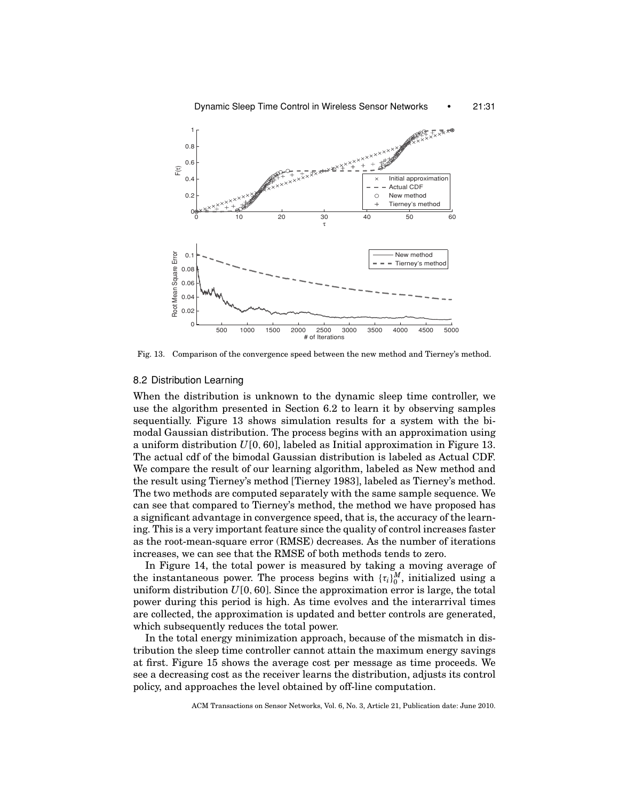

Dynamic Sleep Time Control in Wireless Sensor Networks • 21:31

Fig. 13. Comparison of the convergence speed between the new method and Tierney's method.

# 8.2 Distribution Learning

When the distribution is unknown to the dynamic sleep time controller, we use the algorithm presented in Section 6.2 to learn it by observing samples sequentially. Figure 13 shows simulation results for a system with the bimodal Gaussian distribution. The process begins with an approximation using a uniform distribution *U*[0, 60], labeled as Initial approximation in Figure 13. The actual cdf of the bimodal Gaussian distribution is labeled as Actual CDF. We compare the result of our learning algorithm, labeled as New method and the result using Tierney's method [Tierney 1983], labeled as Tierney's method. The two methods are computed separately with the same sample sequence. We can see that compared to Tierney's method, the method we have proposed has a significant advantage in convergence speed, that is, the accuracy of the learning. This is a very important feature since the quality of control increases faster as the root-mean-square error (RMSE) decreases. As the number of iterations increases, we can see that the RMSE of both methods tends to zero.

In Figure 14, the total power is measured by taking a moving average of the instantaneous power. The process begins with  $\{\tau_i\}_0^M$ , initialized using a uniform distribution *U*[0, 60]. Since the approximation error is large, the total power during this period is high. As time evolves and the interarrival times are collected, the approximation is updated and better controls are generated, which subsequently reduces the total power.

In the total energy minimization approach, because of the mismatch in distribution the sleep time controller cannot attain the maximum energy savings at first. Figure 15 shows the average cost per message as time proceeds. We see a decreasing cost as the receiver learns the distribution, adjusts its control policy, and approaches the level obtained by off-line computation.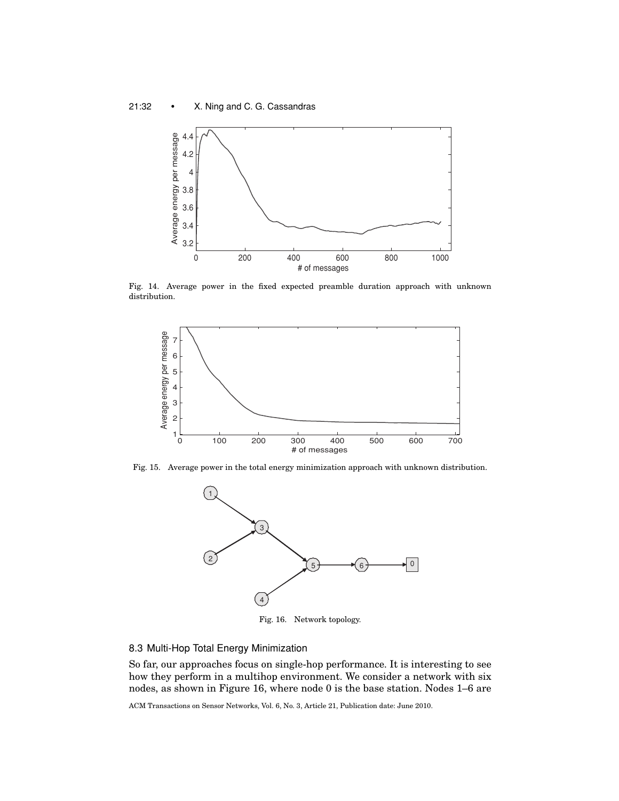21:32 • X. Ning and C. G. Cassandras



Fig. 14. Average power in the fixed expected preamble duration approach with unknown distribution.



Fig. 15. Average power in the total energy minimization approach with unknown distribution.



Fig. 16. Network topology.

# 8.3 Multi-Hop Total Energy Minimization

So far, our approaches focus on single-hop performance. It is interesting to see how they perform in a multihop environment. We consider a network with six nodes, as shown in Figure 16, where node 0 is the base station. Nodes 1–6 are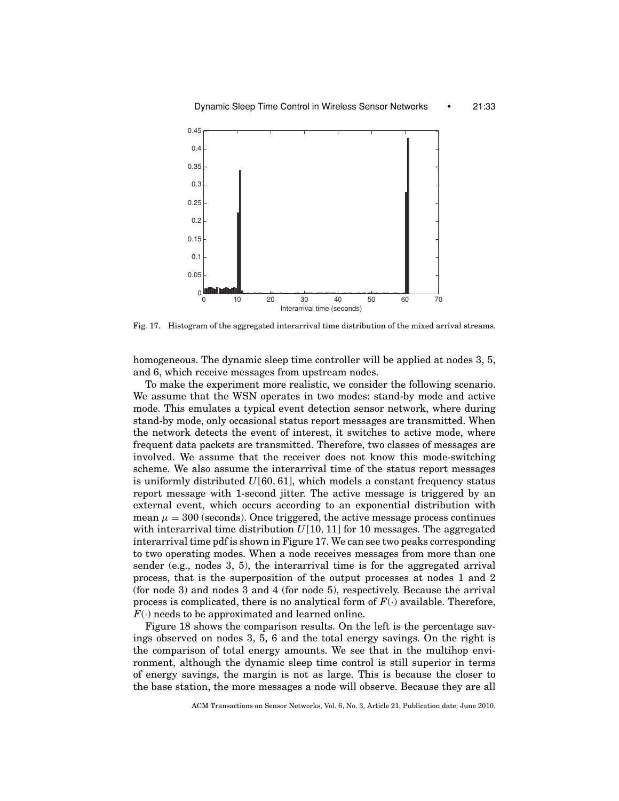

Fig. 17. Histogram of the aggregated interarrival time distribution of the mixed arrival streams.

homogeneous. The dynamic sleep time controller will be applied at nodes 3, 5, and 6, which receive messages from upstream nodes.

To make the experiment more realistic, we consider the following scenario. We assume that the WSN operates in two modes: stand-by mode and active mode. This emulates a typical event detection sensor network, where during stand-by mode, only occasional status report messages are transmitted. When the network detects the event of interest, it switches to active mode, where frequent data packets are transmitted. Therefore, two classes of messages are involved. We assume that the receiver does not know this mode-switching scheme. We also assume the interarrival time of the status report messages is uniformly distributed *U*[60, 61], which models a constant frequency status report message with 1-second jitter. The active message is triggered by an external event, which occurs according to an exponential distribution with mean  $\mu = 300$  (seconds). Once triggered, the active message process continues with interarrival time distribution  $U[10, 11]$  for 10 messages. The aggregated interarrival time pdf is shown in Figure 17. We can see two peaks corresponding to two operating modes. When a node receives messages from more than one sender (e.g., nodes 3, 5), the interarrival time is for the aggregated arrival process, that is the superposition of the output processes at nodes 1 and 2 (for node 3) and nodes 3 and 4 (for node 5), respectively. Because the arrival process is complicated, there is no analytical form of  $F(\cdot)$  available. Therefore,  $F(.)$  needs to be approximated and learned online.

Figure 18 shows the comparison results. On the left is the percentage savings observed on nodes 3, 5, 6 and the total energy savings. On the right is the comparison of total energy amounts. We see that in the multihop environment, although the dynamic sleep time control is still superior in terms of energy savings, the margin is not as large. This is because the closer to the base station, the more messages a node will observe. Because they are all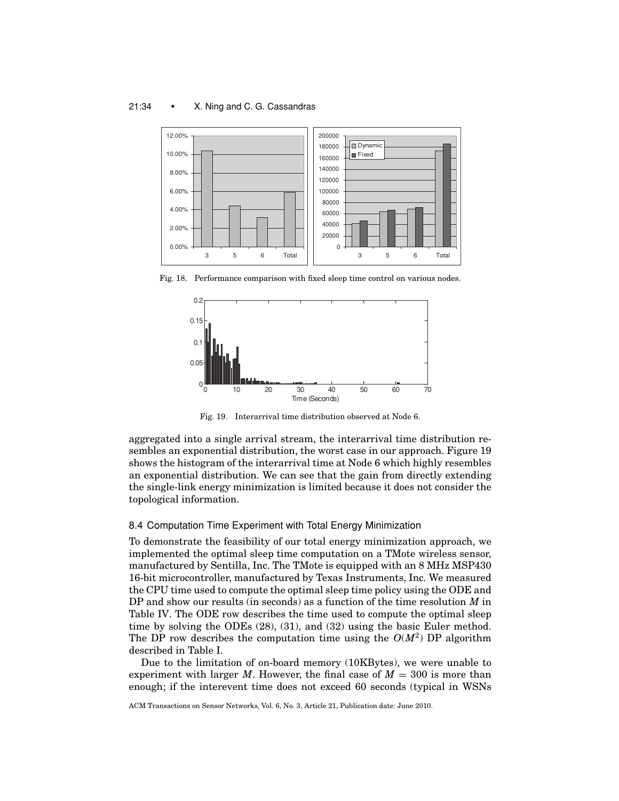#### 21:34 • X. Ning and C. G. Cassandras



Fig. 18. Performance comparison with fixed sleep time control on various nodes.



Fig. 19. Interarrival time distribution observed at Node 6.

aggregated into a single arrival stream, the interarrival time distribution resembles an exponential distribution, the worst case in our approach. Figure 19 shows the histogram of the interarrival time at Node 6 which highly resembles an exponential distribution. We can see that the gain from directly extending the single-link energy minimization is limited because it does not consider the topological information.

# 8.4 Computation Time Experiment with Total Energy Minimization

To demonstrate the feasibility of our total energy minimization approach, we implemented the optimal sleep time computation on a TMote wireless sensor, manufactured by Sentilla, Inc. The TMote is equipped with an 8 MHz MSP430 16-bit microcontroller, manufactured by Texas Instruments, Inc. We measured the CPU time used to compute the optimal sleep time policy using the ODE and DP and show our results (in seconds) as a function of the time resolution *M* in Table IV. The ODE row describes the time used to compute the optimal sleep time by solving the ODEs (28), (31), and (32) using the basic Euler method. The DP row describes the computation time using the  $O(M^2)$  DP algorithm described in Table I.

Due to the limitation of on-board memory (10KBytes), we were unable to experiment with larger *M*. However, the final case of  $M = 300$  is more than enough; if the interevent time does not exceed 60 seconds (typical in WSNs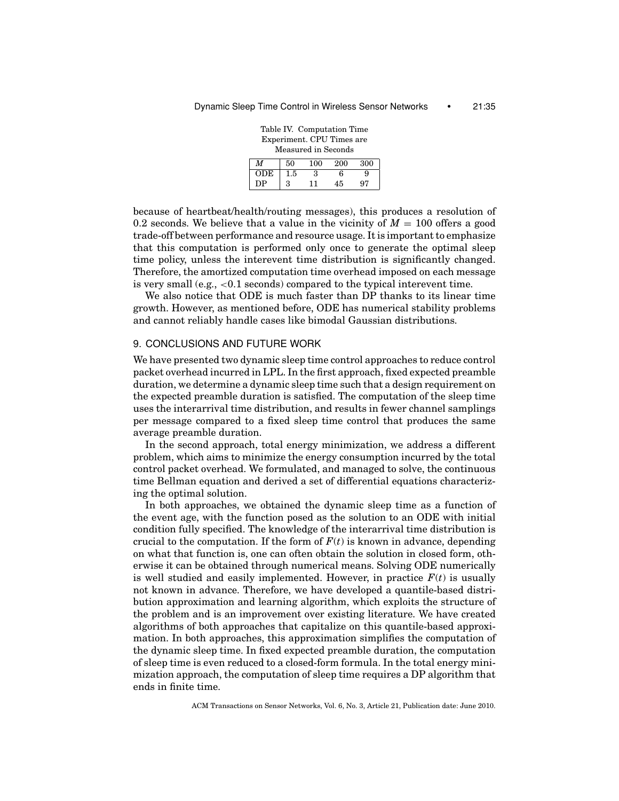| Experiment. CPU Times are |                 |     |       |       |  |  |  |  |  |
|---------------------------|-----------------|-----|-------|-------|--|--|--|--|--|
| Measured in Seconds       |                 |     |       |       |  |  |  |  |  |
| M                         | $\frac{50}{50}$ | 100 | - 200 | - 300 |  |  |  |  |  |

ODE 1.5 3 6 DP 3 11 45 97

Table IV. Computation Time Experiment. CPU Times are

because of heartbeat/health/routing messages), this produces a resolution of 0.2 seconds. We believe that a value in the vicinity of  $M = 100$  offers a good trade-off between performance and resource usage. It is important to emphasize that this computation is performed only once to generate the optimal sleep time policy, unless the interevent time distribution is significantly changed. Therefore, the amortized computation time overhead imposed on each message is very small (e.g., <0.1 seconds) compared to the typical interevent time.

We also notice that ODE is much faster than DP thanks to its linear time growth. However, as mentioned before, ODE has numerical stability problems and cannot reliably handle cases like bimodal Gaussian distributions.

# 9. CONCLUSIONS AND FUTURE WORK

We have presented two dynamic sleep time control approaches to reduce control packet overhead incurred in LPL. In the first approach, fixed expected preamble duration, we determine a dynamic sleep time such that a design requirement on the expected preamble duration is satisfied. The computation of the sleep time uses the interarrival time distribution, and results in fewer channel samplings per message compared to a fixed sleep time control that produces the same average preamble duration.

In the second approach, total energy minimization, we address a different problem, which aims to minimize the energy consumption incurred by the total control packet overhead. We formulated, and managed to solve, the continuous time Bellman equation and derived a set of differential equations characterizing the optimal solution.

In both approaches, we obtained the dynamic sleep time as a function of the event age, with the function posed as the solution to an ODE with initial condition fully specified. The knowledge of the interarrival time distribution is crucial to the computation. If the form of  $F(t)$  is known in advance, depending on what that function is, one can often obtain the solution in closed form, otherwise it can be obtained through numerical means. Solving ODE numerically is well studied and easily implemented. However, in practice  $F(t)$  is usually not known in advance. Therefore, we have developed a quantile-based distribution approximation and learning algorithm, which exploits the structure of the problem and is an improvement over existing literature. We have created algorithms of both approaches that capitalize on this quantile-based approximation. In both approaches, this approximation simplifies the computation of the dynamic sleep time. In fixed expected preamble duration, the computation of sleep time is even reduced to a closed-form formula. In the total energy minimization approach, the computation of sleep time requires a DP algorithm that ends in finite time.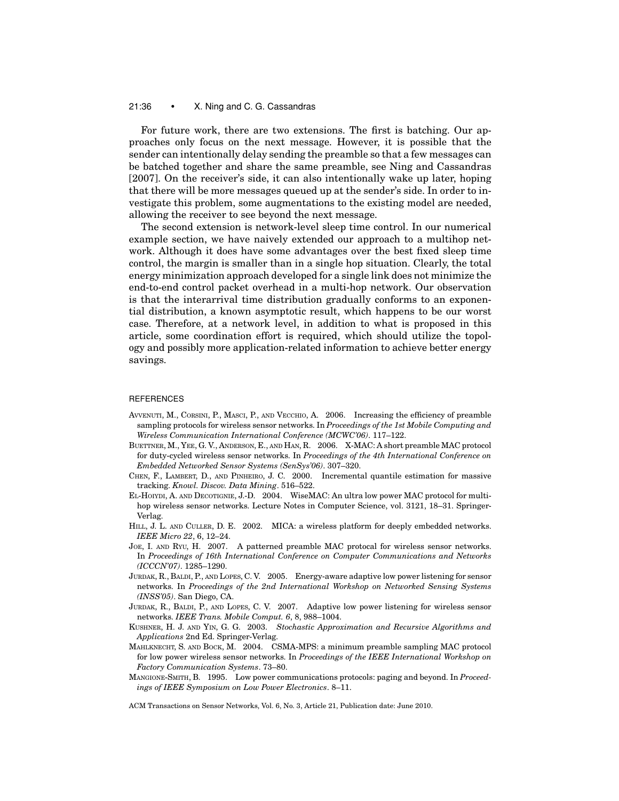# 21:36 • X. Ning and C. G. Cassandras

For future work, there are two extensions. The first is batching. Our approaches only focus on the next message. However, it is possible that the sender can intentionally delay sending the preamble so that a few messages can be batched together and share the same preamble, see Ning and Cassandras [2007]. On the receiver's side, it can also intentionally wake up later, hoping that there will be more messages queued up at the sender's side. In order to investigate this problem, some augmentations to the existing model are needed, allowing the receiver to see beyond the next message.

The second extension is network-level sleep time control. In our numerical example section, we have naively extended our approach to a multihop network. Although it does have some advantages over the best fixed sleep time control, the margin is smaller than in a single hop situation. Clearly, the total energy minimization approach developed for a single link does not minimize the end-to-end control packet overhead in a multi-hop network. Our observation is that the interarrival time distribution gradually conforms to an exponential distribution, a known asymptotic result, which happens to be our worst case. Therefore, at a network level, in addition to what is proposed in this article, some coordination effort is required, which should utilize the topology and possibly more application-related information to achieve better energy savings.

#### **REFERENCES**

- AVVENUTI, M., CORSINI, P., MASCI, P., AND VECCHIO, A. 2006. Increasing the efficiency of preamble sampling protocols for wireless sensor networks. In *Proceedings of the 1st Mobile Computing and Wireless Communication International Conference (MCWC'06)*. 117–122.
- BUETTNER, M., YEE, G. V., ANDERSON, E., AND HAN, R. 2006. X-MAC: A short preamble MAC protocol for duty-cycled wireless sensor networks. In *Proceedings of the 4th International Conference on Embedded Networked Sensor Systems (SenSys'06)*. 307–320.
- CHEN, F., LAMBERT, D., AND PINHEIRO, J. C. 2000. Incremental quantile estimation for massive tracking. *Knowl. Discov. Data Mining*. 516–522.
- EL-HOIYDI, A. AND DECOTIGNIE, J.-D. 2004. WiseMAC: An ultra low power MAC protocol for multihop wireless sensor networks. Lecture Notes in Computer Science, vol. 3121, 18–31. Springer-Verlag.
- HILL, J. L. AND CULLER, D. E. 2002. MICA: a wireless platform for deeply embedded networks. *IEEE Micro 22*, 6, 12–24.
- JOE, I. AND RYU, H. 2007. A patterned preamble MAC protocal for wireless sensor networks. In *Proceedings of 16th International Conference on Computer Communications and Networks (ICCCN'07)*. 1285–1290.
- JURDAK, R., BALDI, P., AND LOPES, C. V. 2005. Energy-aware adaptive low power listening for sensor networks. In *Proceedings of the 2nd International Workshop on Networked Sensing Systems (INSS'05)*. San Diego, CA.
- JURDAK, R., BALDI, P., AND LOPES, C. V. 2007. Adaptive low power listening for wireless sensor networks. *IEEE Trans. Mobile Comput. 6*, 8, 988–1004.
- KUSHNER, H. J. AND YIN, G. G. 2003. *Stochastic Approximation and Recursive Algorithms and Applications* 2nd Ed. Springer-Verlag.
- MAHLKNECHT, S. AND BOCK, M. 2004. CSMA-MPS: a minimum preamble sampling MAC protocol for low power wireless sensor networks. In *Proceedings of the IEEE International Workshop on Factory Communication Systems*. 73–80.
- MANGIONE-SMITH, B. 1995. Low power communications protocols: paging and beyond. In *Proceedings of IEEE Symposium on Low Power Electronics*. 8–11.